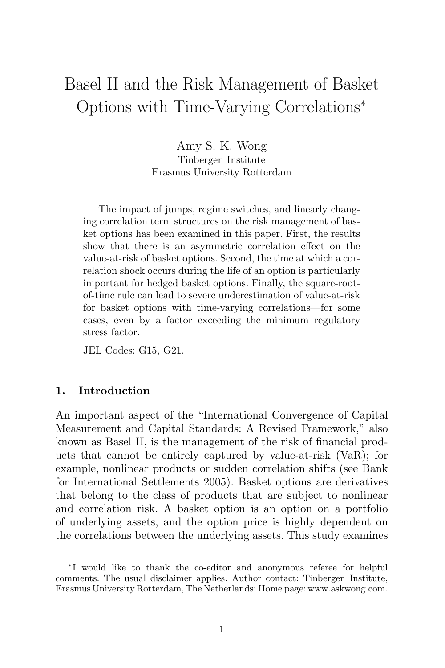# Basel II and the Risk Management of Basket Options with Time-Varying Correlations<sup>∗</sup>

Amy S. K. Wong Tinbergen Institute Erasmus University Rotterdam

The impact of jumps, regime switches, and linearly changing correlation term structures on the risk management of basket options has been examined in this paper. First, the results show that there is an asymmetric correlation effect on the value-at-risk of basket options. Second, the time at which a correlation shock occurs during the life of an option is particularly important for hedged basket options. Finally, the square-rootof-time rule can lead to severe underestimation of value-at-risk for basket options with time-varying correlations—for some cases, even by a factor exceeding the minimum regulatory stress factor.

JEL Codes: G15, G21.

## **1. Introduction**

An important aspect of the "International Convergence of Capital Measurement and Capital Standards: A Revised Framework," also known as Basel II, is the management of the risk of financial products that cannot be entirely captured by value-at-risk (VaR); for example, nonlinear products or sudden correlation shifts (see Bank for International Settlements 2005). Basket options are derivatives that belong to the class of products that are subject to nonlinear and correlation risk. A basket option is an option on a portfolio of underlying assets, and the option price is highly dependent on the correlations between the underlying assets. This study examines

<sup>∗</sup>I would like to thank the co-editor and anonymous referee for helpful comments. The usual disclaimer applies. Author contact: Tinbergen Institute, Erasmus University Rotterdam, The Netherlands; Home page: www.askwong.com.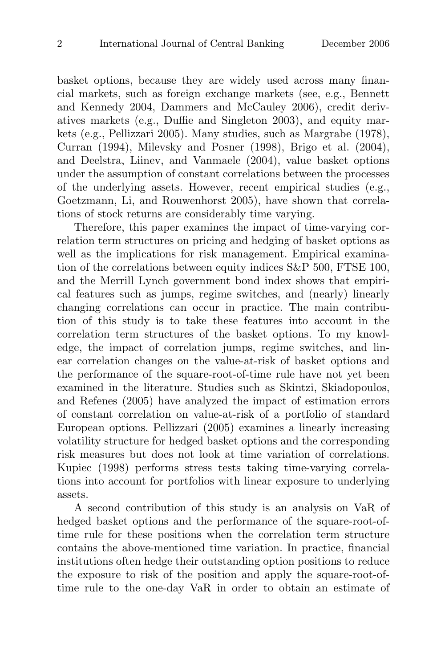basket options, because they are widely used across many financial markets, such as foreign exchange markets (see, e.g., Bennett and Kennedy 2004, Dammers and McCauley 2006), credit derivatives markets (e.g., Duffie and Singleton 2003), and equity markets (e.g., Pellizzari 2005). Many studies, such as Margrabe (1978), Curran (1994), Milevsky and Posner (1998), Brigo et al. (2004), and Deelstra, Liinev, and Vanmaele (2004), value basket options under the assumption of constant correlations between the processes of the underlying assets. However, recent empirical studies (e.g., Goetzmann, Li, and Rouwenhorst 2005), have shown that correlations of stock returns are considerably time varying.

Therefore, this paper examines the impact of time-varying correlation term structures on pricing and hedging of basket options as well as the implications for risk management. Empirical examination of the correlations between equity indices S&P 500, FTSE 100, and the Merrill Lynch government bond index shows that empirical features such as jumps, regime switches, and (nearly) linearly changing correlations can occur in practice. The main contribution of this study is to take these features into account in the correlation term structures of the basket options. To my knowledge, the impact of correlation jumps, regime switches, and linear correlation changes on the value-at-risk of basket options and the performance of the square-root-of-time rule have not yet been examined in the literature. Studies such as Skintzi, Skiadopoulos, and Refenes (2005) have analyzed the impact of estimation errors of constant correlation on value-at-risk of a portfolio of standard European options. Pellizzari (2005) examines a linearly increasing volatility structure for hedged basket options and the corresponding risk measures but does not look at time variation of correlations. Kupiec (1998) performs stress tests taking time-varying correlations into account for portfolios with linear exposure to underlying assets.

A second contribution of this study is an analysis on VaR of hedged basket options and the performance of the square-root-oftime rule for these positions when the correlation term structure contains the above-mentioned time variation. In practice, financial institutions often hedge their outstanding option positions to reduce the exposure to risk of the position and apply the square-root-oftime rule to the one-day VaR in order to obtain an estimate of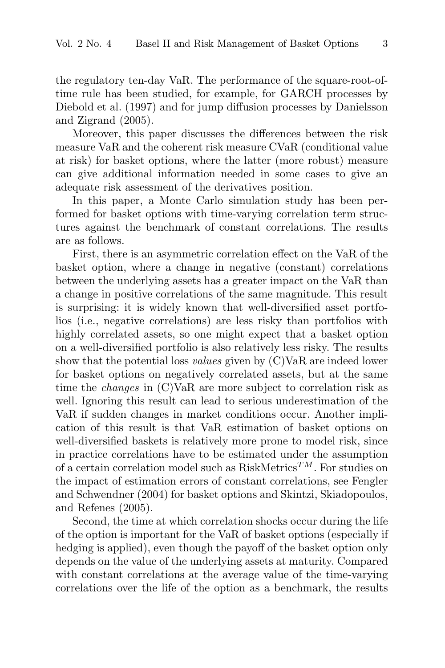the regulatory ten-day VaR. The performance of the square-root-oftime rule has been studied, for example, for GARCH processes by Diebold et al. (1997) and for jump diffusion processes by Danielsson and Zigrand (2005).

Moreover, this paper discusses the differences between the risk measure VaR and the coherent risk measure CVaR (conditional value at risk) for basket options, where the latter (more robust) measure can give additional information needed in some cases to give an adequate risk assessment of the derivatives position.

In this paper, a Monte Carlo simulation study has been performed for basket options with time-varying correlation term structures against the benchmark of constant correlations. The results are as follows.

First, there is an asymmetric correlation effect on the VaR of the basket option, where a change in negative (constant) correlations between the underlying assets has a greater impact on the VaR than a change in positive correlations of the same magnitude. This result is surprising: it is widely known that well-diversified asset portfolios (i.e., negative correlations) are less risky than portfolios with highly correlated assets, so one might expect that a basket option on a well-diversified portfolio is also relatively less risky. The results show that the potential loss values given by (C)VaR are indeed lower for basket options on negatively correlated assets, but at the same time the changes in (C)VaR are more subject to correlation risk as well. Ignoring this result can lead to serious underestimation of the VaR if sudden changes in market conditions occur. Another implication of this result is that VaR estimation of basket options on well-diversified baskets is relatively more prone to model risk, since in practice correlations have to be estimated under the assumption of a certain correlation model such as  $RiskMetrics^{TM}$ . For studies on the impact of estimation errors of constant correlations, see Fengler and Schwendner (2004) for basket options and Skintzi, Skiadopoulos, and Refenes (2005).

Second, the time at which correlation shocks occur during the life of the option is important for the VaR of basket options (especially if hedging is applied), even though the payoff of the basket option only depends on the value of the underlying assets at maturity. Compared with constant correlations at the average value of the time-varying correlations over the life of the option as a benchmark, the results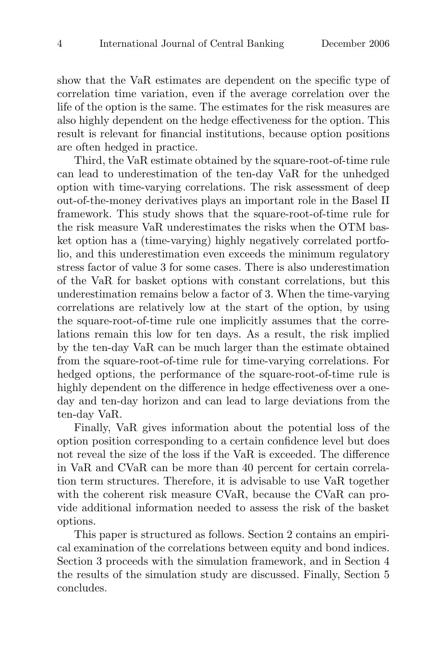show that the VaR estimates are dependent on the specific type of correlation time variation, even if the average correlation over the life of the option is the same. The estimates for the risk measures are also highly dependent on the hedge effectiveness for the option. This result is relevant for financial institutions, because option positions are often hedged in practice.

Third, the VaR estimate obtained by the square-root-of-time rule can lead to underestimation of the ten-day VaR for the unhedged option with time-varying correlations. The risk assessment of deep out-of-the-money derivatives plays an important role in the Basel II framework. This study shows that the square-root-of-time rule for the risk measure VaR underestimates the risks when the OTM basket option has a (time-varying) highly negatively correlated portfolio, and this underestimation even exceeds the minimum regulatory stress factor of value 3 for some cases. There is also underestimation of the VaR for basket options with constant correlations, but this underestimation remains below a factor of 3. When the time-varying correlations are relatively low at the start of the option, by using the square-root-of-time rule one implicitly assumes that the correlations remain this low for ten days. As a result, the risk implied by the ten-day VaR can be much larger than the estimate obtained from the square-root-of-time rule for time-varying correlations. For hedged options, the performance of the square-root-of-time rule is highly dependent on the difference in hedge effectiveness over a oneday and ten-day horizon and can lead to large deviations from the ten-day VaR.

Finally, VaR gives information about the potential loss of the option position corresponding to a certain confidence level but does not reveal the size of the loss if the VaR is exceeded. The difference in VaR and CVaR can be more than 40 percent for certain correlation term structures. Therefore, it is advisable to use VaR together with the coherent risk measure CVaR, because the CVaR can provide additional information needed to assess the risk of the basket options.

This paper is structured as follows. Section 2 contains an empirical examination of the correlations between equity and bond indices. Section 3 proceeds with the simulation framework, and in Section 4 the results of the simulation study are discussed. Finally, Section 5 concludes.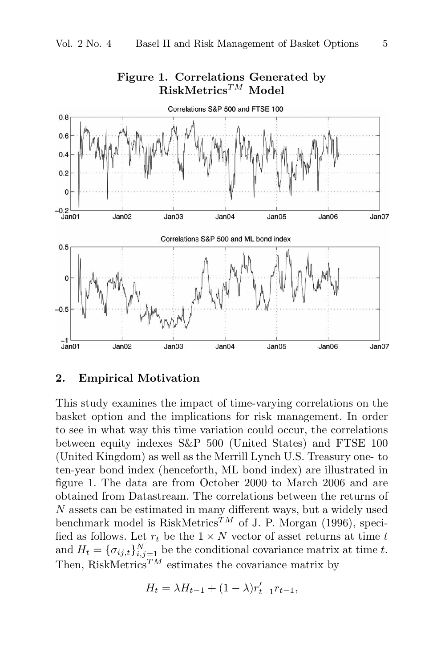

# **Figure 1. Correlations Generated by RiskMetrics**TM **Model**

# **2. Empirical Motivation**

This study examines the impact of time-varying correlations on the basket option and the implications for risk management. In order to see in what way this time variation could occur, the correlations between equity indexes S&P 500 (United States) and FTSE 100 (United Kingdom) as well as the Merrill Lynch U.S. Treasury one- to ten-year bond index (henceforth, ML bond index) are illustrated in figure 1. The data are from October 2000 to March 2006 and are obtained from Datastream. The correlations between the returns of N assets can be estimated in many different ways, but a widely used benchmark model is RiskMetrics<sup>TM</sup> of J. P. Morgan (1996), specified as follows. Let  $r_t$  be the  $1 \times N$  vector of asset returns at time  $t$ and  $H_t = {\{\sigma_{ij,t}\}}_{i,j=1}^N$  be the conditional covariance matrix at time t. Then, RiskMetrics<sup>TM</sup> estimates the covariance matrix by

$$
H_t = \lambda H_{t-1} + (1 - \lambda) r'_{t-1} r_{t-1},
$$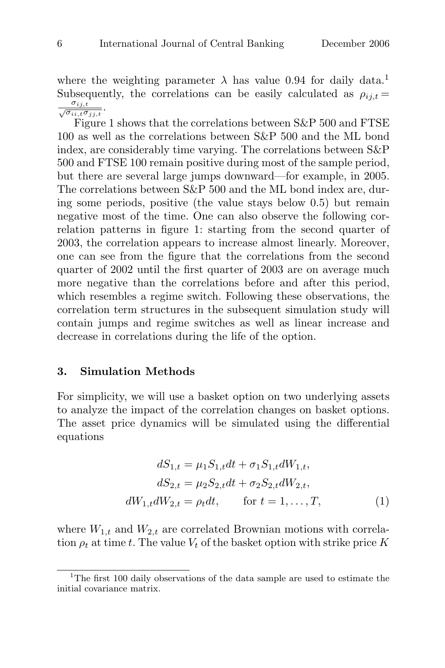where the weighting parameter  $\lambda$  has value 0.94 for daily data.<sup>1</sup> Subsequently, the correlations can be easily calculated as  $\rho_{ij,t} =$  $\frac{\sigma_{ij,t}}{\sqrt{\sigma_{ii,t}\sigma_{jj,t}}}$ 

Figure 1 shows that the correlations between S&P 500 and FTSE 100 as well as the correlations between S&P 500 and the ML bond index, are considerably time varying. The correlations between S&P 500 and FTSE 100 remain positive during most of the sample period, but there are several large jumps downward—for example, in 2005. The correlations between S&P 500 and the ML bond index are, during some periods, positive (the value stays below 0.5) but remain negative most of the time. One can also observe the following correlation patterns in figure 1: starting from the second quarter of 2003, the correlation appears to increase almost linearly. Moreover, one can see from the figure that the correlations from the second quarter of 2002 until the first quarter of 2003 are on average much more negative than the correlations before and after this period, which resembles a regime switch. Following these observations, the correlation term structures in the subsequent simulation study will contain jumps and regime switches as well as linear increase and decrease in correlations during the life of the option.

### **3. Simulation Methods**

For simplicity, we will use a basket option on two underlying assets to analyze the impact of the correlation changes on basket options. The asset price dynamics will be simulated using the differential equations

$$
dS_{1,t} = \mu_1 S_{1,t} dt + \sigma_1 S_{1,t} dW_{1,t},
$$
  
\n
$$
dS_{2,t} = \mu_2 S_{2,t} dt + \sigma_2 S_{2,t} dW_{2,t},
$$
  
\n
$$
dW_{1,t} dW_{2,t} = \rho_t dt, \qquad \text{for } t = 1, ..., T,
$$
\n(1)

where  $W_{1,t}$  and  $W_{2,t}$  are correlated Brownian motions with correlation  $\rho_t$  at time t. The value  $V_t$  of the basket option with strike price K

<sup>&</sup>lt;sup>1</sup>The first 100 daily observations of the data sample are used to estimate the initial covariance matrix.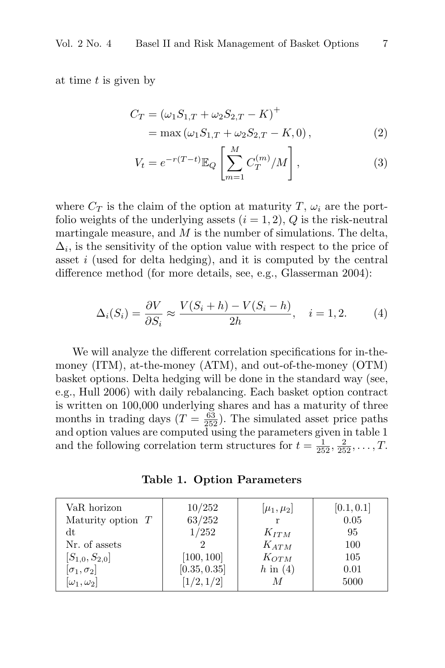at time t is given by

$$
C_T = (\omega_1 S_{1,T} + \omega_2 S_{2,T} - K)^+
$$
  
= max  $(\omega_1 S_{1,T} + \omega_2 S_{2,T} - K, 0)$ , (2)

$$
V_t = e^{-r(T-t)} \mathbb{E}_Q \left[ \sum_{m=1}^M C_T^{(m)} / M \right],
$$
 (3)

where  $C_T$  is the claim of the option at maturity T,  $\omega_i$  are the portfolio weights of the underlying assets  $(i = 1, 2)$ , Q is the risk-neutral martingale measure, and  $M$  is the number of simulations. The delta,  $\Delta_i$ , is the sensitivity of the option value with respect to the price of asset i (used for delta hedging), and it is computed by the central difference method (for more details, see, e.g., Glasserman 2004):

$$
\Delta_i(S_i) = \frac{\partial V}{\partial S_i} \approx \frac{V(S_i + h) - V(S_i - h)}{2h}, \quad i = 1, 2. \tag{4}
$$

We will analyze the different correlation specifications for in-themoney (ITM), at-the-money (ATM), and out-of-the-money (OTM) basket options. Delta hedging will be done in the standard way (see, e.g., Hull 2006) with daily rebalancing. Each basket option contract is written on 100,000 underlying shares and has a maturity of three months in trading days  $(T = \frac{63}{252})$ . The simulated asset price paths and option values are computed using the parameters given in table 1 and the following correlation term structures for  $t = \frac{1}{252}, \frac{2}{252}, \ldots, T$ .

**Table 1. Option Parameters**

| VaR horizon           | 10/252       | $[\mu_1,\mu_2]$ | [0.1, 0.1] |
|-----------------------|--------------|-----------------|------------|
| Maturity option $T$   | 63/252       | r               | 0.05       |
| dt                    | 1/252        | $K_{ITM}$       | 95         |
| Nr. of assets         |              | $K_{ATM}$       | 100        |
| $[S_{1,0},S_{2,0}]$   | [100, 100]   | $K_{OTM}$       | 105        |
| $[\sigma_1,\sigma_2]$ | [0.35, 0.35] | $h$ in $(4)$    | 0.01       |
| $[\omega_1,\omega_2]$ | [1/2, 1/2]   | M               | 5000       |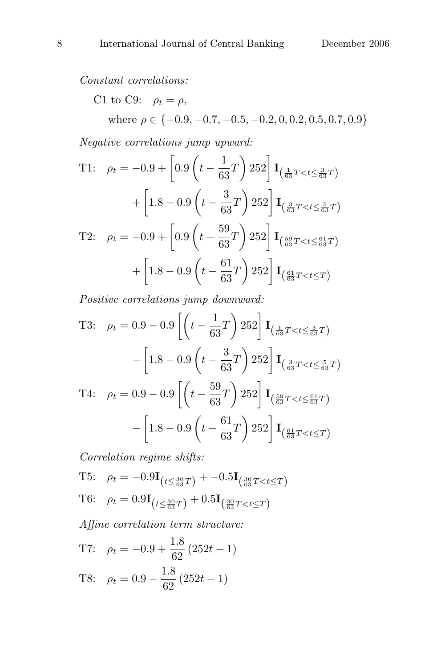Constant correlations:

C1 to C9: 
$$
\rho_t = \rho
$$
,  
where  $\rho \in \{-0.9, -0.7, -0.5, -0.2, 0, 0.2, 0.5, 0.7, 0.9\}$ 

Negative correlations jump upward:

T1: 
$$
\rho_t = -0.9 + \left[ 0.9 \left( t - \frac{1}{63} T \right) 252 \right] \mathbf{I}_{\left( \frac{1}{63} T < t \le \frac{3}{63} T \right)}
$$
  
  $+ \left[ 1.8 - 0.9 \left( t - \frac{3}{63} T \right) 252 \right] \mathbf{I}_{\left( \frac{3}{63} T < t \le \frac{5}{63} T \right)}$   
T2:  $\rho_t = -0.9 + \left[ 0.9 \left( t - \frac{59}{63} T \right) 252 \right] \mathbf{I}_{\left( \frac{59}{63} T < t \le \frac{61}{63} T \right)}$   
 $+ \left[ 1.8 - 0.9 \left( t - \frac{61}{63} T \right) 252 \right] \mathbf{I}_{\left( \frac{61}{63} T < t \le T \right)}$ 

Positive correlations jump downward:

T3: 
$$
\rho_t = 0.9 - 0.9 \left[ \left( t - \frac{1}{63} T \right) 252 \right] \mathbf{I}_{\left( \frac{1}{63} T < t \leq \frac{3}{63} T \right)}
$$
  
\n $- \left[ 1.8 - 0.9 \left( t - \frac{3}{63} T \right) 252 \right] \mathbf{I}_{\left( \frac{3}{63} T < t \leq \frac{5}{63} T \right)}$   
\nT4:  $\rho_t = 0.9 - 0.9 \left[ \left( t - \frac{59}{63} T \right) 252 \right] \mathbf{I}_{\left( \frac{59}{63} T < t \leq \frac{61}{63} T \right)}$   
\n $- \left[ 1.8 - 0.9 \left( t - \frac{61}{63} T \right) 252 \right] \mathbf{I}_{\left( \frac{61}{63} T < t \leq T \right)}$ 

Correlation regime shifts:

T5: 
$$
\rho_t = -0.9\mathbf{I}_{(t \le \frac{30}{63}T)} + -0.5\mathbf{I}_{(\frac{30}{63}T < t \le T)}
$$
  
T6:  $\rho_t = 0.9\mathbf{I}_{(t \le \frac{30}{63}T)} + 0.5\mathbf{I}_{(\frac{30}{63}T < t \le T)}$ 

Affine correlation term structure:

T7:  $\rho_t = -0.9 + \frac{1.8}{62} (252t - 1)$ T8:  $\rho_t = 0.9 - \frac{1.8}{62} (252t - 1)$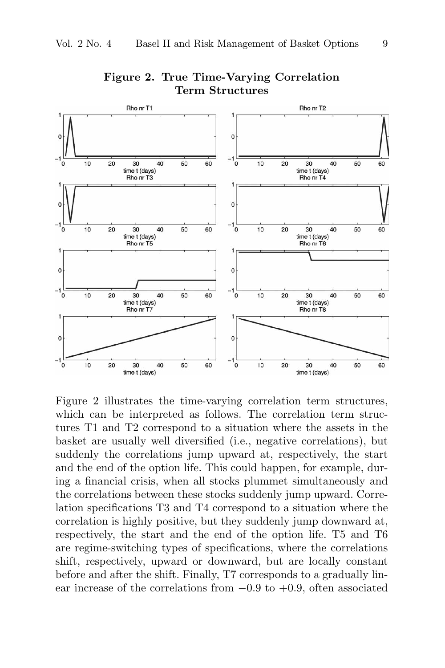

**Figure 2. True Time-Varying Correlation Term Structures**

Figure 2 illustrates the time-varying correlation term structures, which can be interpreted as follows. The correlation term structures T1 and T2 correspond to a situation where the assets in the basket are usually well diversified (i.e., negative correlations), but suddenly the correlations jump upward at, respectively, the start and the end of the option life. This could happen, for example, during a financial crisis, when all stocks plummet simultaneously and the correlations between these stocks suddenly jump upward. Correlation specifications T3 and T4 correspond to a situation where the correlation is highly positive, but they suddenly jump downward at, respectively, the start and the end of the option life. T5 and T6 are regime-switching types of specifications, where the correlations shift, respectively, upward or downward, but are locally constant before and after the shift. Finally, T7 corresponds to a gradually linear increase of the correlations from  $-0.9$  to  $+0.9$ , often associated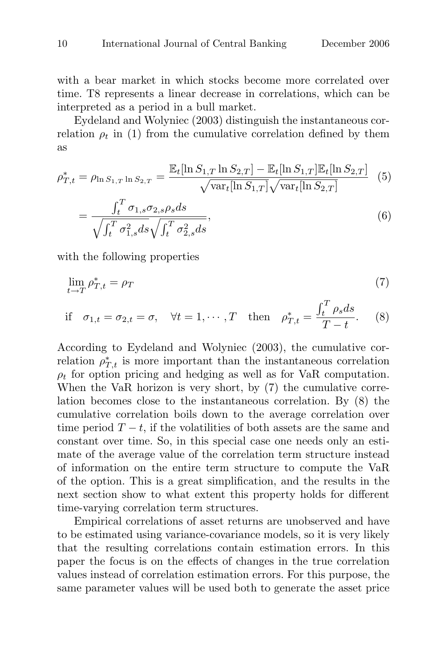with a bear market in which stocks become more correlated over time. T8 represents a linear decrease in correlations, which can be interpreted as a period in a bull market.

Eydeland and Wolyniec (2003) distinguish the instantaneous correlation  $\rho_t$  in (1) from the cumulative correlation defined by them as

$$
\rho_{T,t}^* = \rho_{\ln S_{1,T} \ln S_{2,T}} = \frac{\mathbb{E}_t[\ln S_{1,T} \ln S_{2,T}] - \mathbb{E}_t[\ln S_{1,T}]\mathbb{E}_t[\ln S_{2,T}]}{\sqrt{\text{var}_t[\ln S_{1,T}]}\sqrt{\text{var}_t[\ln S_{2,T}]}} \tag{5}
$$
\n
$$
\int_t^T \sigma_{1,s} \sigma_{2,s} \rho_s ds
$$

$$
=\frac{\int_t^T \sigma_{1,s}\sigma_{2,s}\rho_s ds}{\sqrt{\int_t^T \sigma_{1,s}^2 ds}\sqrt{\int_t^T \sigma_{2,s}^2 ds}},\tag{6}
$$

with the following properties

$$
\lim_{t \to T} \rho_{T,t}^* = \rho_T \tag{7}
$$

if 
$$
\sigma_{1,t} = \sigma_{2,t} = \sigma
$$
,  $\forall t = 1, \cdots, T$  then  $\rho_{T,t}^* = \frac{\int_t^T \rho_s ds}{T - t}$ . (8)

According to Eydeland and Wolyniec (2003), the cumulative correlation  $\rho_{T,t}^*$  is more important than the instantaneous correlation  $\rho_t$  for option pricing and hedging as well as for VaR computation. When the VaR horizon is very short, by (7) the cumulative correlation becomes close to the instantaneous correlation. By (8) the cumulative correlation boils down to the average correlation over time period  $T - t$ , if the volatilities of both assets are the same and constant over time. So, in this special case one needs only an estimate of the average value of the correlation term structure instead of information on the entire term structure to compute the VaR of the option. This is a great simplification, and the results in the next section show to what extent this property holds for different time-varying correlation term structures.

Empirical correlations of asset returns are unobserved and have to be estimated using variance-covariance models, so it is very likely that the resulting correlations contain estimation errors. In this paper the focus is on the effects of changes in the true correlation values instead of correlation estimation errors. For this purpose, the same parameter values will be used both to generate the asset price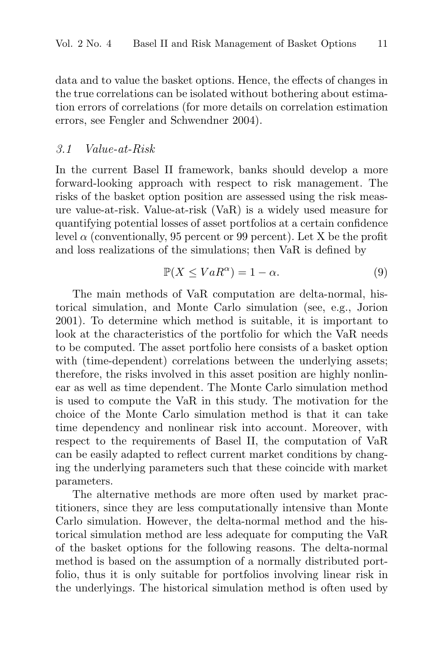data and to value the basket options. Hence, the effects of changes in the true correlations can be isolated without bothering about estimation errors of correlations (for more details on correlation estimation errors, see Fengler and Schwendner 2004).

### 3.1 Value-at-Risk

In the current Basel II framework, banks should develop a more forward-looking approach with respect to risk management. The risks of the basket option position are assessed using the risk measure value-at-risk. Value-at-risk (VaR) is a widely used measure for quantifying potential losses of asset portfolios at a certain confidence level  $\alpha$  (conventionally, 95 percent or 99 percent). Let X be the profit and loss realizations of the simulations; then VaR is defined by

$$
\mathbb{P}(X \le VaR^{\alpha}) = 1 - \alpha. \tag{9}
$$

The main methods of VaR computation are delta-normal, historical simulation, and Monte Carlo simulation (see, e.g., Jorion 2001). To determine which method is suitable, it is important to look at the characteristics of the portfolio for which the VaR needs to be computed. The asset portfolio here consists of a basket option with (time-dependent) correlations between the underlying assets; therefore, the risks involved in this asset position are highly nonlinear as well as time dependent. The Monte Carlo simulation method is used to compute the VaR in this study. The motivation for the choice of the Monte Carlo simulation method is that it can take time dependency and nonlinear risk into account. Moreover, with respect to the requirements of Basel II, the computation of VaR can be easily adapted to reflect current market conditions by changing the underlying parameters such that these coincide with market parameters.

The alternative methods are more often used by market practitioners, since they are less computationally intensive than Monte Carlo simulation. However, the delta-normal method and the historical simulation method are less adequate for computing the VaR of the basket options for the following reasons. The delta-normal method is based on the assumption of a normally distributed portfolio, thus it is only suitable for portfolios involving linear risk in the underlyings. The historical simulation method is often used by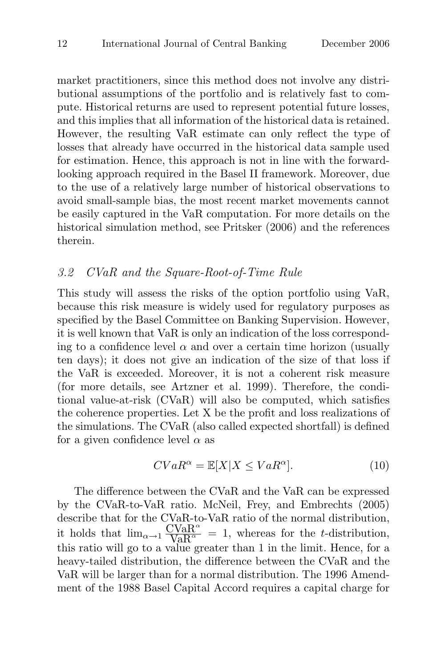market practitioners, since this method does not involve any distributional assumptions of the portfolio and is relatively fast to compute. Historical returns are used to represent potential future losses, and this implies that all information of the historical data is retained. However, the resulting VaR estimate can only reflect the type of losses that already have occurred in the historical data sample used for estimation. Hence, this approach is not in line with the forwardlooking approach required in the Basel II framework. Moreover, due to the use of a relatively large number of historical observations to avoid small-sample bias, the most recent market movements cannot be easily captured in the VaR computation. For more details on the historical simulation method, see Pritsker (2006) and the references therein.

## 3.2 CVaR and the Square-Root-of-Time Rule

This study will assess the risks of the option portfolio using VaR, because this risk measure is widely used for regulatory purposes as specified by the Basel Committee on Banking Supervision. However, it is well known that VaR is only an indication of the loss corresponding to a confidence level  $\alpha$  and over a certain time horizon (usually ten days); it does not give an indication of the size of that loss if the VaR is exceeded. Moreover, it is not a coherent risk measure (for more details, see Artzner et al. 1999). Therefore, the conditional value-at-risk (CVaR) will also be computed, which satisfies the coherence properties. Let X be the profit and loss realizations of the simulations. The CVaR (also called expected shortfall) is defined for a given confidence level  $\alpha$  as

$$
CVaR^{\alpha} = \mathbb{E}[X|X \le VaR^{\alpha}].
$$
\n(10)

The difference between the CVaR and the VaR can be expressed by the CVaR-to-VaR ratio. McNeil, Frey, and Embrechts (2005) describe that for the CVaR-to-VaR ratio of the normal distribution, it holds that  $\lim_{\alpha \to 1} \frac{\text{CVaR}^{\alpha}}{\text{VaR}^{\alpha}} = 1$ , whereas for the *t*-distribution, this ratio will go to a value greater than 1 in the limit. Hence, for a heavy-tailed distribution, the difference between the CVaR and the VaR will be larger than for a normal distribution. The 1996 Amendment of the 1988 Basel Capital Accord requires a capital charge for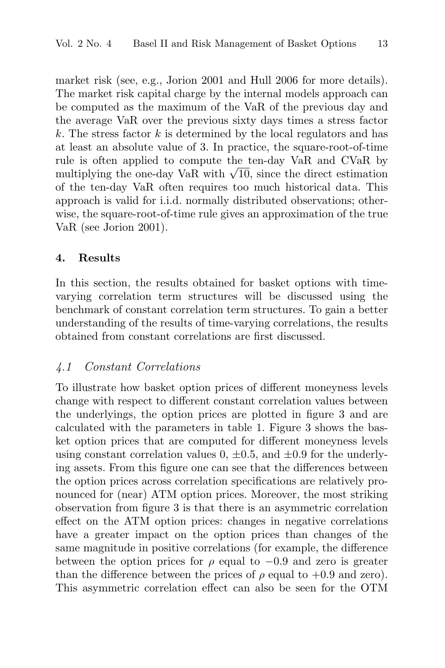market risk (see, e.g., Jorion 2001 and Hull 2006 for more details). The market risk capital charge by the internal models approach can be computed as the maximum of the VaR of the previous day and the average VaR over the previous sixty days times a stress factor  $k$ . The stress factor  $k$  is determined by the local regulators and has at least an absolute value of 3. In practice, the square-root-of-time rule is often applied to compute the ten-day VaR and CVaR by multiplying the one-day VaR with  $\sqrt{10}$ , since the direct estimation of the ten-day VaR often requires too much historical data. This approach is valid for i.i.d. normally distributed observations; otherwise, the square-root-of-time rule gives an approximation of the true VaR (see Jorion 2001).

#### **4. Results**

In this section, the results obtained for basket options with timevarying correlation term structures will be discussed using the benchmark of constant correlation term structures. To gain a better understanding of the results of time-varying correlations, the results obtained from constant correlations are first discussed.

# 4.1 Constant Correlations

To illustrate how basket option prices of different moneyness levels change with respect to different constant correlation values between the underlyings, the option prices are plotted in figure 3 and are calculated with the parameters in table 1. Figure 3 shows the basket option prices that are computed for different moneyness levels using constant correlation values  $0, \pm 0.5,$  and  $\pm 0.9$  for the underlying assets. From this figure one can see that the differences between the option prices across correlation specifications are relatively pronounced for (near) ATM option prices. Moreover, the most striking observation from figure 3 is that there is an asymmetric correlation effect on the ATM option prices: changes in negative correlations have a greater impact on the option prices than changes of the same magnitude in positive correlations (for example, the difference between the option prices for  $\rho$  equal to  $-0.9$  and zero is greater than the difference between the prices of  $\rho$  equal to +0.9 and zero). This asymmetric correlation effect can also be seen for the OTM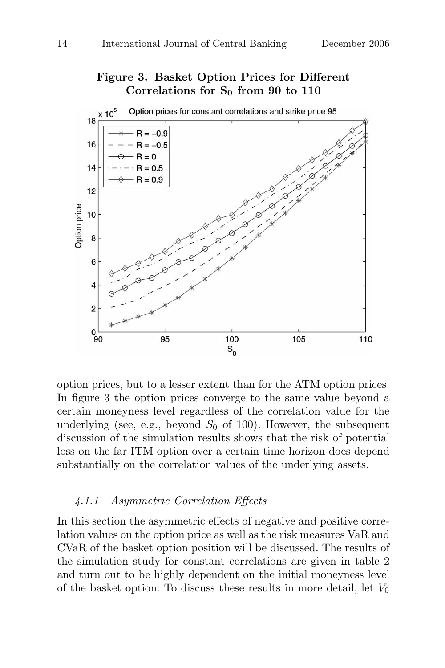# **Figure 3. Basket Option Prices for Different Correlations for S<sup>0</sup> from 90 to 110**



option prices, but to a lesser extent than for the ATM option prices. In figure 3 the option prices converge to the same value beyond a certain moneyness level regardless of the correlation value for the underlying (see, e.g., beyond  $S_0$  of 100). However, the subsequent discussion of the simulation results shows that the risk of potential loss on the far ITM option over a certain time horizon does depend substantially on the correlation values of the underlying assets.

#### 4.1.1 Asymmetric Correlation Effects

In this section the asymmetric effects of negative and positive correlation values on the option price as well as the risk measures VaR and CVaR of the basket option position will be discussed. The results of the simulation study for constant correlations are given in table 2 and turn out to be highly dependent on the initial moneyness level of the basket option. To discuss these results in more detail, let  $\bar{V}_0$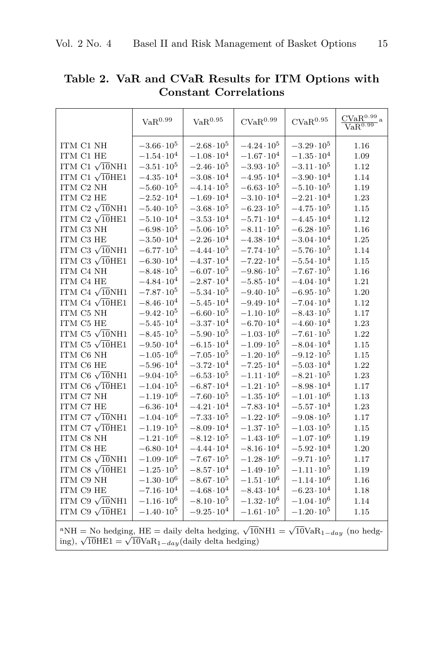|                                                                                                                      | VaR <sup>0.99</sup>  | VaR <sup>0.95</sup>  | CVaR <sup>0.99</sup> | CVaR <sup>0.95</sup> | $\underline{\text{CVaR}^{0.99}}$ a<br>VaR <sup>0.99</sup> |
|----------------------------------------------------------------------------------------------------------------------|----------------------|----------------------|----------------------|----------------------|-----------------------------------------------------------|
| ITM C1 NH                                                                                                            | $-3.66 \cdot 10^{5}$ | $-2.68 \cdot 10^5$   | $-4.24 \cdot 10^5$   | $-3.29 \cdot 10^5$   | 1.16                                                      |
| ITM C1 HE                                                                                                            | $-1.54 \cdot 10^{4}$ | $-1.08 \cdot 10^{4}$ | $-1.67 \cdot 10^{4}$ | $-1.35 \cdot 10^{4}$ | 1.09                                                      |
| ITM C1 $\sqrt{10}NH1$                                                                                                | $-3.51 \cdot 10^5$   | $-2.46 \cdot 10^5$   | $-3.93 \cdot 10^{5}$ | $-3.11 \cdot 10^5$   | 1.12                                                      |
| ITM C1 $\sqrt{10}$ HE1                                                                                               | $-4.35 \cdot 10^{4}$ | $-3.08 \cdot 10^{4}$ | $-4.95 \cdot 10^{4}$ | $-3.90 \cdot 10^{4}$ | 1.14                                                      |
| ITM C2 NH                                                                                                            | $-5.60 \cdot 10^5$   | $-4.14 \cdot 10^5$   | $-6.63 \cdot 10^{5}$ | $-5.10 \cdot 10^{5}$ | 1.19                                                      |
| ITM C2 HE                                                                                                            | $-2.52 \cdot 10^{4}$ | $-1.69 \cdot 10^{4}$ | $-3.10 \cdot 10^{4}$ | $-2.21 \cdot 10^{4}$ | 1.23                                                      |
| ITM C2 $\sqrt{10}$ NH1                                                                                               | $-5.40 \cdot 10^{5}$ | $-3.68 \cdot 10^5$   | $-6.23 \cdot 10^5$   | $-4.75 \cdot 10^5$   | 1.15                                                      |
| ITM C2 $\sqrt{10}$ HE1                                                                                               | $-5.10 \cdot 10^{4}$ | $-3.53 \cdot 10^{4}$ | $-5.71 \cdot 10^{4}$ | $-4.45 \cdot 10^{4}$ | 1.12                                                      |
| ITM C3 NH                                                                                                            | $-6.98 \cdot 10^5$   | $-5.06 \cdot 10^{5}$ | $-8.11 \cdot 10^5$   | $-6.28 \cdot 10^5$   | 1.16                                                      |
| ITM C3 HE                                                                                                            | $-3.50 \cdot 10^{4}$ | $-2.26 \cdot 10^{4}$ | $-4.38 \cdot 10^{4}$ | $-3.04 \cdot 10^{4}$ | 1.25                                                      |
| ITM C3 $\sqrt{10}NH1$                                                                                                | $-6.77 \cdot 10^5$   | $-4.44 \cdot 10^5$   | $-7.74 \cdot 10^5$   | $-5.76 \cdot 10^5$   | 1.14                                                      |
| ITM C3 $\sqrt{10}$ HE1                                                                                               | $-6.30 \cdot 10^{4}$ | $-4.37 \cdot 10^{4}$ | $-7.22 \cdot 10^{4}$ | $-5.54 \cdot 10^{4}$ | 1.15                                                      |
| ITM C4 NH                                                                                                            | $-8.48 \cdot 10^5$   | $-6.07 \cdot 10^5$   | $-9.86 \cdot 10^5$   | $-7.67 \cdot 10^5$   | 1.16                                                      |
| ITM C4 HE                                                                                                            | $-4.84 \cdot 10^{4}$ | $-2.87 \cdot 10^{4}$ | $-5.85 \cdot 10^{4}$ | $-4.04 \cdot 10^{4}$ | 1.21                                                      |
| ITM C4 $\sqrt{10}$ NH1                                                                                               | $-7.87 \cdot 10^{5}$ | $-5.34 \cdot 10^5$   | $-9.40 \cdot 10^{5}$ | $-6.95 \cdot 10^{5}$ | 1.20                                                      |
| ITM C4 $\sqrt{10}$ HE1                                                                                               | $-8.46 \cdot 10^{4}$ | $-5.45 \cdot 10^{4}$ | $-9.49 \cdot 10^{4}$ | $-7.04 \cdot 10^{4}$ | 1.12                                                      |
| ITM C5 NH                                                                                                            | $-9.42 \cdot 10^5$   | $-6.60 \cdot 10^5$   | $-1.10 \cdot 10^{6}$ | $-8.43 \cdot 10^5$   | 1.17                                                      |
| ITM C5 HE                                                                                                            | $-5.45 \cdot 10^{4}$ | $-3.37 \cdot 10^{4}$ | $-6.70 \cdot 10^{4}$ | $-4.60 \cdot 10^{4}$ | 1.23                                                      |
| ITM C5 $\sqrt{10}$ NH1                                                                                               | $-8.45 \cdot 10^5$   | $-5.90 \cdot 10^5$   | $-1.03 \cdot 10^6$   | $-7.61 \cdot 10^5$   | 1.22                                                      |
| ITM C5 $\sqrt{10}$ HE1                                                                                               | $-9.50 \cdot 10^{4}$ | $-6.15 \cdot 10^{4}$ | $-1.09 \cdot 10^5$   | $-8.04 \cdot 10^{4}$ | 1.15                                                      |
| ITM C6 NH                                                                                                            | $-1.05 \cdot 10^{6}$ | $-7.05 \cdot 10^5$   | $-1.20 \cdot 10^6$   | $-9.12 \cdot 10^5$   | 1.15                                                      |
| ITM C6 HE                                                                                                            | $-5.96 \cdot 10^{4}$ | $-3.72 \cdot 10^{4}$ | $-7.25 \cdot 10^4$   | $-5.03 \cdot 10^{4}$ | 1.22                                                      |
| ITM C6 $\sqrt{10}NH1$                                                                                                | $-9.04 \cdot 10^5$   | $-6.53 \cdot 10^5$   | $-1.11 \cdot 10^6$   | $-8.21 \cdot 10^5$   | 1.23                                                      |
| ITM C6 $\sqrt{10HE1}$                                                                                                | $-1.04 \cdot 10^5$   | $-6.87 \cdot 10^{4}$ | $-1.21 \cdot 10^5$   | $-8.98 \cdot 10^{4}$ | 1.17                                                      |
| ITM C7 NH                                                                                                            | $-1.19 \cdot 10^{6}$ | $-7.60 \cdot 10^5$   | $-1.35 \cdot 10^6$   | $-1.01 \cdot 10^{6}$ | 1.13                                                      |
| ITM C7 HE                                                                                                            | $-6.36 \cdot 10^{4}$ | $-4.21 \cdot 10^{4}$ | $-7.83 \cdot 10^{4}$ | $-5.57 \cdot 10^{4}$ | 1.23                                                      |
| ITM C7 $\sqrt{10}NH1$                                                                                                | $-1.04 \cdot 10^6$   | $-7.33 \cdot 10^{5}$ | $-1.22 \cdot 10^6$   | $-9.08 \cdot 10^5$   | 1.17                                                      |
| ITM C7 $\sqrt{10}$ HE1                                                                                               | $-1.19 \cdot 10^5$   | $-8.09 \cdot 10^{4}$ | $-1.37 \cdot 10^5$   | $-1.03 \cdot 10^5$   | 1.15                                                      |
| ITM C8 NH                                                                                                            | $-1.21 \cdot 10^{6}$ | $-8.12 \cdot 10^5$   | $-1.43 \cdot 10^6$   | $-1.07 \cdot 10^6$   | 1.19                                                      |
| ITM C8 HE                                                                                                            | $-6.80 \cdot 10^{4}$ | $-4.44 \cdot 10^{4}$ | $-8.16 \cdot 10^{4}$ | $-5.92 \cdot 10^{4}$ | 1.20                                                      |
| ITM C8 $\sqrt{10}NH1$                                                                                                | $-1.09 \cdot 10^{6}$ | $-7.67 \cdot 10^{5}$ | $-1.28 \cdot 10^6$   | $-9.71 \cdot 10^{5}$ | 1.17                                                      |
| ITM C8 $\sqrt{10}$ HE1                                                                                               | $-1.25 \cdot 10^5$   | $-8.57 \cdot 10^4$   | $-1.49 \cdot 10^5$   | $-1.11 \cdot 10^{5}$ | 1.19                                                      |
| ITM C9 NH                                                                                                            | $-1.30 \cdot 10^6$   | $-8.67 \cdot 10^5$   | $-1.51 \cdot 10^{6}$ | $-1.14 \cdot 10^6$   | 1.16                                                      |
| ITM C9 HE                                                                                                            | $-7.16 \cdot 10^{4}$ | $-4.68 \cdot 10^{4}$ | $-8.43 \cdot 10^{4}$ | $-6.23 \cdot 10^{4}$ | 1.18                                                      |
| ITM C9 $\sqrt{10}NH1$                                                                                                | $-1.16 \cdot 10^{6}$ | $-8.10 \cdot 10^{5}$ | $-1.32 \cdot 10^6$   | $-1.04 \cdot 10^6$   | 1.14                                                      |
| ITM C9 $\sqrt{10}$ HE1                                                                                               | $-1.40 \cdot 10^5$   | $-9.25 \cdot 10^{4}$ | $-1.61 \cdot 10^5$   | $-1.20 \cdot 10^5$   | 1.15                                                      |
| <sup>a</sup> NH = No hedging, HE = daily delta hedging, $\sqrt{10}$ NH1 = $\sqrt{10}$ VaR <sub>1-day</sub> (no hedg- |                      |                      |                      |                      |                                                           |

**Table 2. VaR and CVaR Results for ITM Options with Constant Correlations**

ing),  $\sqrt{10}$ HE1 =  $\sqrt{10}$ VaR<sub>1−day</sub>(daily delta hedging)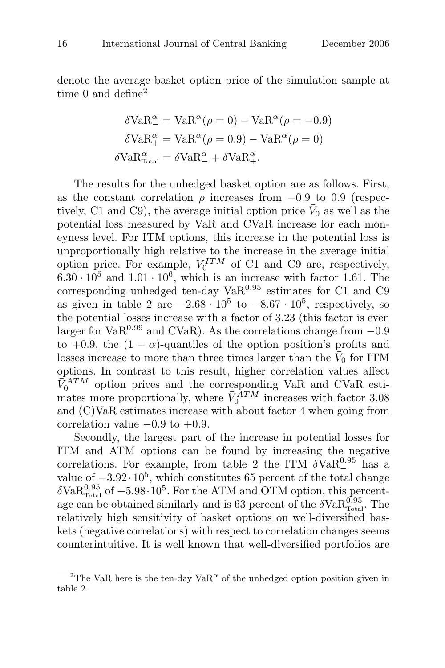denote the average basket option price of the simulation sample at time 0 and define<sup>2</sup>

$$
\delta \text{VaR}_{-}^{\alpha} = \text{VaR}^{\alpha}(\rho = 0) - \text{VaR}^{\alpha}(\rho = -0.9)
$$

$$
\delta \text{VaR}_{+}^{\alpha} = \text{VaR}^{\alpha}(\rho = 0.9) - \text{VaR}^{\alpha}(\rho = 0)
$$

$$
\delta \text{VaR}_{\text{Total}}^{\alpha} = \delta \text{VaR}_{-}^{\alpha} + \delta \text{VaR}_{+}^{\alpha}.
$$

The results for the unhedged basket option are as follows. First, as the constant correlation  $\rho$  increases from  $-0.9$  to 0.9 (respectively, C1 and C9), the average initial option price  $\bar{V}_0$  as well as the potential loss measured by VaR and CVaR increase for each moneyness level. For ITM options, this increase in the potential loss is unproportionally high relative to the increase in the average initial option price. For example,  $\bar{V}_0^{ITM}$  of C1 and C9 are, respectively,  $6.30 \cdot 10^5$  and  $1.01 \cdot 10^6$ , which is an increase with factor 1.61. The corresponding unhedged ten-day  $VaR<sup>0.95</sup>$  estimates for C1 and C9 as given in table 2 are  $-2.68 \cdot 10^5$  to  $-8.67 \cdot 10^5$ , respectively, so the potential losses increase with a factor of 3.23 (this factor is even larger for  $VaR<sup>0.99</sup>$  and CVaR). As the correlations change from  $-0.9$ to +0.9, the  $(1 - \alpha)$ -quantiles of the option position's profits and losses increase to more than three times larger than the  $\bar{V}_0$  for ITM options. In contrast to this result, higher correlation values affect  $\bar{V}_0^{ATM}$  option prices and the corresponding VaR and CVaR estimates more proportionally, where  $\bar{V}_0^{\bar{A}TM}$  increases with factor 3.08 and (C)VaR estimates increase with about factor 4 when going from correlation value  $-0.9$  to  $+0.9$ .

Secondly, the largest part of the increase in potential losses for ITM and ATM options can be found by increasing the negative correlations. For example, from table 2 the ITM  $\delta \text{VaR}_{-}^{0.95}$  has a value of  $-3.92 \cdot 10^5$ , which constitutes 65 percent of the total change  $\delta \text{VaR}_{\text{Total}}^{0.95}$  of  $-5.98 \cdot 10^5$ . For the ATM and OTM option, this percentage can be obtained similarly and is 63 percent of the  $\delta \text{VaR}_{\text{Total}}^{0.95}$ . The relatively high sensitivity of basket options on well-diversified baskets (negative correlations) with respect to correlation changes seems counterintuitive. It is well known that well-diversified portfolios are

<sup>&</sup>lt;sup>2</sup>The VaR here is the ten-day VaR<sup> $\alpha$ </sup> of the unhedged option position given in table 2.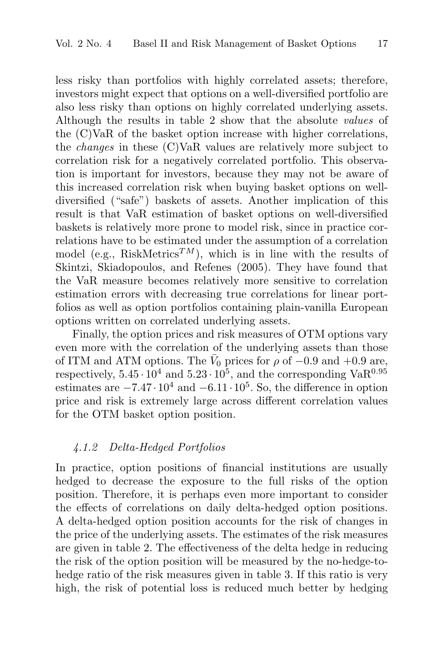less risky than portfolios with highly correlated assets; therefore, investors might expect that options on a well-diversified portfolio are also less risky than options on highly correlated underlying assets. Although the results in table 2 show that the absolute values of the (C)VaR of the basket option increase with higher correlations, the changes in these (C)VaR values are relatively more subject to correlation risk for a negatively correlated portfolio. This observation is important for investors, because they may not be aware of this increased correlation risk when buying basket options on welldiversified ("safe") baskets of assets. Another implication of this result is that VaR estimation of basket options on well-diversified baskets is relatively more prone to model risk, since in practice correlations have to be estimated under the assumption of a correlation model (e.g., RiskMetrics<sup>TM</sup>), which is in line with the results of Skintzi, Skiadopoulos, and Refenes (2005). They have found that the VaR measure becomes relatively more sensitive to correlation estimation errors with decreasing true correlations for linear portfolios as well as option portfolios containing plain-vanilla European options written on correlated underlying assets.

Finally, the option prices and risk measures of OTM options vary even more with the correlation of the underlying assets than those of ITM and ATM options. The  $\bar{V}_0$  prices for  $\rho$  of  $-0.9$  and  $+0.9$  are, respectively,  $5.45 \cdot 10^4$  and  $5.23 \cdot 10^5$ , and the corresponding Va $\text{R}^{0.95}$ estimates are  $-7.47 \cdot 10^4$  and  $-6.11 \cdot 10^5$ . So, the difference in option price and risk is extremely large across different correlation values for the OTM basket option position.

#### 4.1.2 Delta-Hedged Portfolios

In practice, option positions of financial institutions are usually hedged to decrease the exposure to the full risks of the option position. Therefore, it is perhaps even more important to consider the effects of correlations on daily delta-hedged option positions. A delta-hedged option position accounts for the risk of changes in the price of the underlying assets. The estimates of the risk measures are given in table 2. The effectiveness of the delta hedge in reducing the risk of the option position will be measured by the no-hedge-tohedge ratio of the risk measures given in table 3. If this ratio is very high, the risk of potential loss is reduced much better by hedging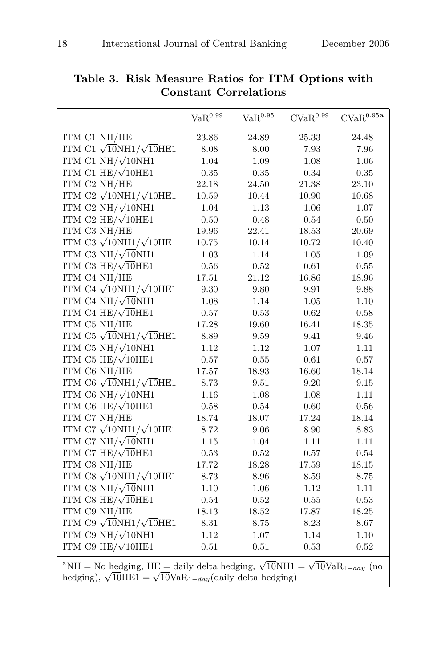|                                    | $\text{VaR}^{0.99}$ | $\mathrm{VaR}^{0.95}$ | $\text{CVaR}^{0.99}$ | CVaR <sup>0.95a</sup> |
|------------------------------------|---------------------|-----------------------|----------------------|-----------------------|
| ITM C1 NH/HE                       | 23.86               | 24.89                 | 25.33                | 24.48                 |
| ITM C1 $\sqrt{10}NH1/\sqrt{10}HE1$ | 8.08                | 8.00                  | 7.93                 | 7.96                  |
| ITM C1 NH/ $\sqrt{10}$ NH1         | 1.04                | 1.09                  | 1.08                 | 1.06                  |
| ITM C1 HE/ $\sqrt{10}$ HE1         | 0.35                | 0.35                  | 0.34                 | 0.35                  |
| ITM C2 NH/HE                       | 22.18               | 24.50                 | 21.38                | 23.10                 |
| ITM C2 $\sqrt{10}NH1/\sqrt{10}HE1$ | 10.59               | 10.44                 | 10.90                | 10.68                 |
| ITM C2 NH/ $\sqrt{10}$ NH1         | 1.04                | 1.13                  | 1.06                 | 1.07                  |
| ITM C2 HE/ $\sqrt{10}$ HE1         | 0.50                | 0.48                  | 0.54                 | 0.50                  |
| ITM C3 NH/HE                       | 19.96               | 22.41                 | 18.53                | 20.69                 |
| ITM C3 $\sqrt{10}NH1/\sqrt{10}HE1$ | 10.75               | 10.14                 | 10.72                | 10.40                 |
| ITM C3 NH/ $\sqrt{10}$ NH1         | 1.03                | 1.14                  | 1.05                 | 1.09                  |
| ITM C3 HE/ $\sqrt{10}$ HE1         | 0.56                | $0.52\,$              | 0.61                 | 0.55                  |
| ITM C4 NH/HE                       | 17.51               | 21.12                 | 16.86                | 18.96                 |
| ITM C4 $\sqrt{10}NH1/\sqrt{10}HE1$ | 9.30                | 9.80                  | 9.91                 | 9.88                  |
| ITM C4 NH/ $\sqrt{10}$ NH1         | 1.08                | 1.14                  | 1.05                 | 1.10                  |
| ITM C4 HE/ $\sqrt{10}$ HE1         | 0.57                | 0.53                  | 0.62                 | 0.58                  |
| ITM C5 NH/HE                       | 17.28               | 19.60                 | 16.41                | 18.35                 |
| ITM C5 $\sqrt{10}NH1/\sqrt{10}HE1$ | 8.89                | 9.59                  | 9.41                 | 9.46                  |
| ITM C5 NH/ $\sqrt{10}$ NH1         | 1.12                | 1.12                  | 1.07                 | 1.11                  |
| ITM C5 HE/ $\sqrt{10}$ HE1         | 0.57                | $0.55\,$              | 0.61                 | 0.57                  |
| ITM C6 NH/HE                       | 17.57               | 18.93                 | 16.60                | 18.14                 |
| ITM C6 $\sqrt{10}NH1/\sqrt{10}HE1$ | 8.73                | 9.51                  | 9.20                 | 9.15                  |
| ITM C6 NH/ $\sqrt{10}$ NH1         | 1.16                | 1.08                  | 1.08                 | 1.11                  |
| ITM C6 HE/ $\sqrt{10}$ HE1         | 0.58                | 0.54                  | 0.60                 | 0.56                  |
| ITM C7 NH/HE                       | 18.74               | 18.07                 | 17.24                | 18.14                 |
| ITM C7 $\sqrt{10}NH1/\sqrt{10}HE1$ | 8.72                | 9.06                  | 8.90                 | 8.83                  |
| ITM C7 NH/ $\sqrt{10}$ NH1         | 1.15                | 1.04                  | 1.11                 | 1.11                  |
| ITM C7 HE/ $\sqrt{10}$ HE1         | 0.53                | 0.52                  | 0.57                 | 0.54                  |
| ITM C8 NH/HE                       | 17.72               | 18.28                 | 17.59                | 18.15                 |
| ITM C8 $\sqrt{10}NH1/\sqrt{10}HE1$ | 8.73                | 8.96                  | 8.59                 | 8.75                  |
| ITM C8 NH/ $\sqrt{10}$ NH1         | 1.10                | 1.06                  | 1.12                 | 1.11                  |
| ITM C8 HE/ $\sqrt{10}$ HE1         | 0.54                | 0.52                  | 0.55                 | 0.53                  |
| ITM C9 NH/HE                       | 18.13               | 18.52                 | 17.87                | 18.25                 |
| ITM C9 $\sqrt{10}NH1/\sqrt{10}HE1$ | 8.31                | 8.75                  | 8.23                 | 8.67                  |
| ITM C9 NH/ $\sqrt{10}$ NH1         | 1.12                | 1.07                  | 1.14                 | 1.10                  |
| ITM C9 HE/ $\sqrt{10}$ HE1         | 0.51                | 0.51                  | 0.53                 | 0.52                  |

**Table 3. Risk Measure Ratios for ITM Options with Constant Correlations**

<sup>a</sup>NH = No hedging, HE = daily delta hedging,  $\sqrt{10}$ NH1 =  $\sqrt{10}$ Va $R_{1-day}$  (no hedging),  $\sqrt{10}$ HE1 =  $\sqrt{10}$ VaR<sub>1−day</sub>(daily delta hedging)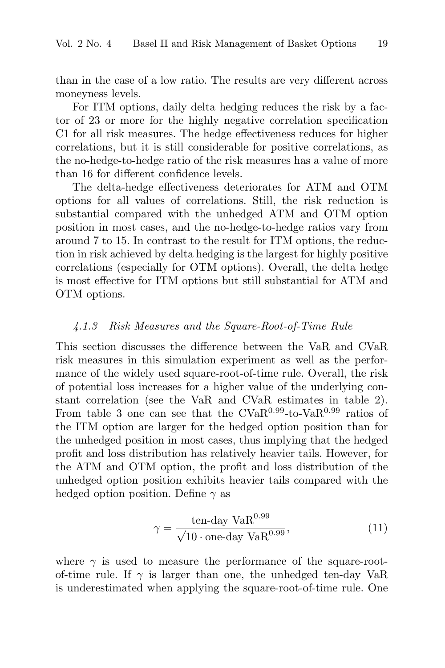than in the case of a low ratio. The results are very different across moneyness levels.

For ITM options, daily delta hedging reduces the risk by a factor of 23 or more for the highly negative correlation specification C1 for all risk measures. The hedge effectiveness reduces for higher correlations, but it is still considerable for positive correlations, as the no-hedge-to-hedge ratio of the risk measures has a value of more than 16 for different confidence levels.

The delta-hedge effectiveness deteriorates for ATM and OTM options for all values of correlations. Still, the risk reduction is substantial compared with the unhedged ATM and OTM option position in most cases, and the no-hedge-to-hedge ratios vary from around 7 to 15. In contrast to the result for ITM options, the reduction in risk achieved by delta hedging is the largest for highly positive correlations (especially for OTM options). Overall, the delta hedge is most effective for ITM options but still substantial for ATM and OTM options.

## 4.1.3 Risk Measures and the Square-Root-of-Time Rule

This section discusses the difference between the VaR and CVaR risk measures in this simulation experiment as well as the performance of the widely used square-root-of-time rule. Overall, the risk of potential loss increases for a higher value of the underlying constant correlation (see the VaR and CVaR estimates in table 2). From table 3 one can see that the  $CVaR^{0.99}$ -to-Va $R^{0.99}$  ratios of the ITM option are larger for the hedged option position than for the unhedged position in most cases, thus implying that the hedged profit and loss distribution has relatively heavier tails. However, for the ATM and OTM option, the profit and loss distribution of the unhedged option position exhibits heavier tails compared with the hedged option position. Define  $\gamma$  as

$$
\gamma = \frac{\text{ten-day VaR}^{0.99}}{\sqrt{10} \cdot \text{one-day VaR}^{0.99}},\tag{11}
$$

where  $\gamma$  is used to measure the performance of the square-rootof-time rule. If  $\gamma$  is larger than one, the unhedged ten-day VaR is underestimated when applying the square-root-of-time rule. One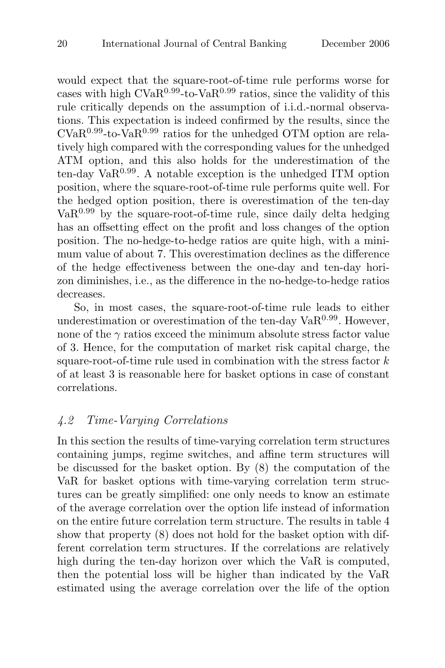would expect that the square-root-of-time rule performs worse for cases with high  $CVaR<sup>0.99</sup>$ -to-Va $R<sup>0.99</sup>$  ratios, since the validity of this rule critically depends on the assumption of i.i.d.-normal observations. This expectation is indeed confirmed by the results, since the  $CVaR<sup>0.99</sup>$ -to-Va $R<sup>0.99</sup>$  ratios for the unhedged OTM option are relatively high compared with the corresponding values for the unhedged ATM option, and this also holds for the underestimation of the ten-day Va $R^{0.99}$ . A notable exception is the unhedged ITM option position, where the square-root-of-time rule performs quite well. For the hedged option position, there is overestimation of the ten-day  $VaR<sup>0.99</sup>$  by the square-root-of-time rule, since daily delta hedging has an offsetting effect on the profit and loss changes of the option position. The no-hedge-to-hedge ratios are quite high, with a minimum value of about 7. This overestimation declines as the difference of the hedge effectiveness between the one-day and ten-day horizon diminishes, i.e., as the difference in the no-hedge-to-hedge ratios decreases.

So, in most cases, the square-root-of-time rule leads to either underestimation or overestimation of the ten-day  $VaR<sup>0.99</sup>$ . However, none of the  $\gamma$  ratios exceed the minimum absolute stress factor value of 3. Hence, for the computation of market risk capital charge, the square-root-of-time rule used in combination with the stress factor  $k$ of at least 3 is reasonable here for basket options in case of constant correlations.

# 4.2 Time-Varying Correlations

In this section the results of time-varying correlation term structures containing jumps, regime switches, and affine term structures will be discussed for the basket option. By (8) the computation of the VaR for basket options with time-varying correlation term structures can be greatly simplified: one only needs to know an estimate of the average correlation over the option life instead of information on the entire future correlation term structure. The results in table 4 show that property (8) does not hold for the basket option with different correlation term structures. If the correlations are relatively high during the ten-day horizon over which the VaR is computed, then the potential loss will be higher than indicated by the VaR estimated using the average correlation over the life of the option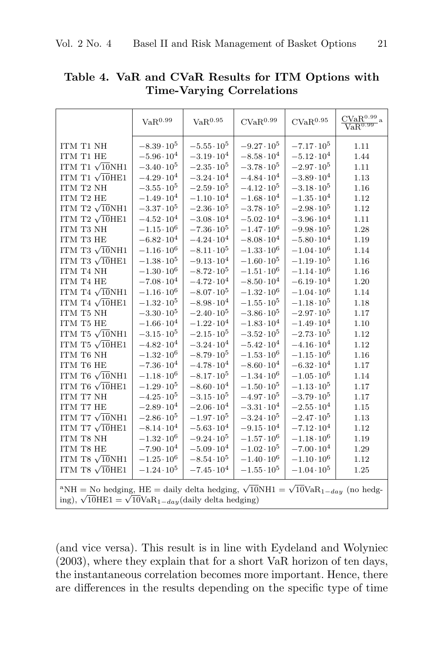|                                                                                                                                                                                                           | VaR <sup>0.99</sup>  | VaR <sup>0.95</sup>  | CVaR <sup>0.99</sup> | CVaR <sup>0.95</sup> | $\frac{\text{CVaR}^{0.99}}{\text{VaR}^{0.99}}$ a |
|-----------------------------------------------------------------------------------------------------------------------------------------------------------------------------------------------------------|----------------------|----------------------|----------------------|----------------------|--------------------------------------------------|
| ITM T1 NH                                                                                                                                                                                                 | $-8.39 \cdot 10^5$   | $-5.55 \cdot 10^5$   | $-9.27 \cdot 10^{5}$ | $-7.17 \cdot 10^5$   | 1.11                                             |
| ITM T1 HE                                                                                                                                                                                                 | $-5.96 \cdot 10^{4}$ | $-3.19 \cdot 10^{4}$ | $-8.58 \cdot 10^4$   | $-5.12 \cdot 10^{4}$ | 1.44                                             |
| ITM T1 $\sqrt{10}$ NH1                                                                                                                                                                                    | $-3.40 \cdot 10^5$   | $-2.35 \cdot 10^5$   | $-3.78 \cdot 10^{5}$ | $-2.97 \cdot 10^5$   | 1.11                                             |
| ITM T1 $\sqrt{10}$ HE1                                                                                                                                                                                    | $-4.29 \cdot 10^{4}$ | $-3.24 \cdot 10^{4}$ | $-4.84 \cdot 10^{4}$ | $-3.89 \cdot 10^{4}$ | 1.13                                             |
| ITM T2 NH                                                                                                                                                                                                 | $-3.55 \cdot 10^5$   | $-2.59 \cdot 10^5$   | $-4.12 \cdot 10^5$   | $-3.18 \cdot 10^5$   | 1.16                                             |
| ITM T2 HE                                                                                                                                                                                                 | $-1.49 \cdot 10^{4}$ | $-1.10 \cdot 10^{4}$ | $-1.68 \cdot 10^{4}$ | $-1.35 \cdot 10^{4}$ | 1.12                                             |
| ITM T2 $\sqrt{10}$ NH1                                                                                                                                                                                    | $-3.37 \cdot 10^5$   | $-2.36 \cdot 10^5$   | $-3.78 \cdot 10^{5}$ | $-2.98 \cdot 10^5$   | 1.12                                             |
| ITM T2 $\sqrt{10}$ HE1                                                                                                                                                                                    | $-4.52 \cdot 10^{4}$ | $-3.08 \cdot 10^{4}$ | $-5.02 \cdot 10^{4}$ | $-3.96 \cdot 10^{4}$ | 1.11                                             |
| ITM T3 NH                                                                                                                                                                                                 | $-1.15 \cdot 10^6$   | $-7.36 \cdot 10^5$   | $-1.47 \cdot 10^6$   | $-9.98 \cdot 10^5$   | 1.28                                             |
| ITM T3 HE                                                                                                                                                                                                 | $-6.82 \cdot 10^{4}$ | $-4.24 \cdot 10^{4}$ | $-8.08 \cdot 10^{4}$ | $-5.80 \cdot 10^{4}$ | 1.19                                             |
| ITM T3 $\sqrt{10}$ NH1                                                                                                                                                                                    | $-1.16 \cdot 10^6$   | $-8.11 \cdot 10^5$   | $-1.33 \cdot 10^6$   | $-1.04 \cdot 10^6$   | 1.14                                             |
| ITM T3 $\sqrt{10}$ HE1                                                                                                                                                                                    | $-1.38 \cdot 10^5$   | $-9.13 \cdot 10^{4}$ | $-1.60 \cdot 10^{5}$ | $-1.19 \cdot 10^5$   | 1.16                                             |
| ITM T4 NH                                                                                                                                                                                                 | $-1.30 \cdot 10^6$   | $-8.72 \cdot 10^{5}$ | $-1.51 \cdot 10^6$   | $-1.14 \cdot 10^6$   | 1.16                                             |
| ITM T4 HE                                                                                                                                                                                                 | $-7.08 \cdot 10^{4}$ | $-4.72 \cdot 10^{4}$ | $-8.50 \cdot 10^{4}$ | $-6.19 \cdot 10^{4}$ | 1.20                                             |
| ITM T4 $\sqrt{10}$ NH1                                                                                                                                                                                    | $-1.16 \cdot 10^6$   | $-8.07 \cdot 10^5$   | $-1.32 \cdot 10^6$   | $-1.04 \cdot 10^6$   | 1.14                                             |
| ITM T4 $\sqrt{10}$ HE1                                                                                                                                                                                    | $-1.32 \cdot 10^5$   | $-8.98 \cdot 10^{4}$ | $-1.55 \cdot 10^5$   | $-1.18 \cdot 10^5$   | 1.18                                             |
| ITM T5 NH                                                                                                                                                                                                 | $-3.30 \cdot 10^5$   | $-2.40 \cdot 10^5$   | $-3.86 \cdot 10^5$   | $-2.97 \cdot 10^5$   | 1.17                                             |
| ITM T5 HE                                                                                                                                                                                                 | $-1.66 \cdot 10^{4}$ | $-1.22 \cdot 10^{4}$ | $-1.83 \cdot 10^{4}$ | $-1.49 \cdot 10^{4}$ | 1.10                                             |
| ITM T5 $\sqrt{10}$ NH1                                                                                                                                                                                    | $-3.15 \cdot 10^5$   | $-2.15 \cdot 10^5$   | $-3.52 \cdot 10^5$   | $-2.73 \cdot 10^5$   | 1.12                                             |
| ITM T5 $\sqrt{10}$ HE1                                                                                                                                                                                    | $-4.82 \cdot 10^{4}$ | $-3.24 \cdot 10^{4}$ | $-5.42 \cdot 10^{4}$ | $-4.16 \cdot 10^{4}$ | 1.12                                             |
| ITM T6 NH                                                                                                                                                                                                 | $-1.32 \cdot 10^6$   | $-8.79 \cdot 10^5$   | $-1.53 \cdot 10^6$   | $-1.15 \cdot 10^6$   | 1.16                                             |
| ITM T6 HE                                                                                                                                                                                                 | $-7.36 \cdot 10^{4}$ | $-4.78 \cdot 10^{4}$ | $-8.60 \cdot 10^{4}$ | $-6.32 \cdot 10^{4}$ | 1.17                                             |
| ITM T6 $\sqrt{10}$ NH1                                                                                                                                                                                    | $-1.18 \cdot 10^6$   | $-8.17 \cdot 10^5$   | $-1.34 \cdot 10^6$   | $-1.05 \cdot 10^6$   | 1.14                                             |
| ITM T6 $\sqrt{10}$ HE1                                                                                                                                                                                    | $-1.29 \cdot 10^5$   | $-8.60 \cdot 10^{4}$ | $-1.50 \cdot 10^5$   | $-1.13 \cdot 10^{5}$ | 1.17                                             |
| ITM T7 NH                                                                                                                                                                                                 | $-4.25 \cdot 10^5$   | $-3.15 \cdot 10^5$   | $-4.97 \cdot 10^5$   | $-3.79 \cdot 10^5$   | 1.17                                             |
| ITM T7 HE                                                                                                                                                                                                 | $-2.89 \cdot 10^{4}$ | $-2.06 \cdot 10^{4}$ | $-3.31 \cdot 10^{4}$ | $-2.55 \cdot 10^4$   | 1.15                                             |
| ITM T7 $\sqrt{10}$ NH1                                                                                                                                                                                    | $-2.86 \cdot 10^5$   | $-1.97 \cdot 10^{5}$ | $-3.24 \cdot 10^5$   | $-2.47 \cdot 10^5$   | 1.13                                             |
| ITM T7 $\sqrt{10}$ HE1                                                                                                                                                                                    | $-8.14 \cdot 10^{4}$ | $-5.63 \cdot 10^{4}$ | $-9.15 \cdot 10^{4}$ | $-7.12 \cdot 10^{4}$ | 1.12                                             |
| ITM T8 NH                                                                                                                                                                                                 | $-1.32 \cdot 10^{6}$ | $-9.24 \cdot 10^5$   | $-1.57 \cdot 10^6$   | $-1.18 \cdot 10^6$   | 1.19                                             |
| ITM T8 HE                                                                                                                                                                                                 | $-7.90 \cdot 10^{4}$ | $-5.09 \cdot 10^{4}$ | $-1.02 \cdot 10^5$   | $-7.00 \cdot 10^{4}$ | 1.29                                             |
| ITM T8 $\sqrt{10}$ NH1                                                                                                                                                                                    | $-1.25 \cdot 10^6$   | $-8.54 \cdot 10^5$   | $-1.40 \cdot 10^6$   | $-1.10 \cdot 10^{6}$ | 1.12                                             |
| ITM T8 $\sqrt{10}$ HE1                                                                                                                                                                                    | $-1.24 \cdot 10^5$   | $-7.45 \cdot 10^{4}$ | $-1.55 \cdot 10^5$   | $-1.04 \cdot 10^5$   | 1.25                                             |
| <sup>a</sup> NH = No hedging, HE = daily delta hedging, $\sqrt{10}$ NH1 = $\sqrt{10}$ VaR <sub>1-day</sub> (no hedg-<br>ing), $\sqrt{10} \text{HE1} = \sqrt{10} \text{VaR}_{1-day}$ (daily delta hedging) |                      |                      |                      |                      |                                                  |

**Table 4. VaR and CVaR Results for ITM Options with Time-Varying Correlations**

(and vice versa). This result is in line with Eydeland and Wolyniec (2003), where they explain that for a short VaR horizon of ten days, the instantaneous correlation becomes more important. Hence, there are differences in the results depending on the specific type of time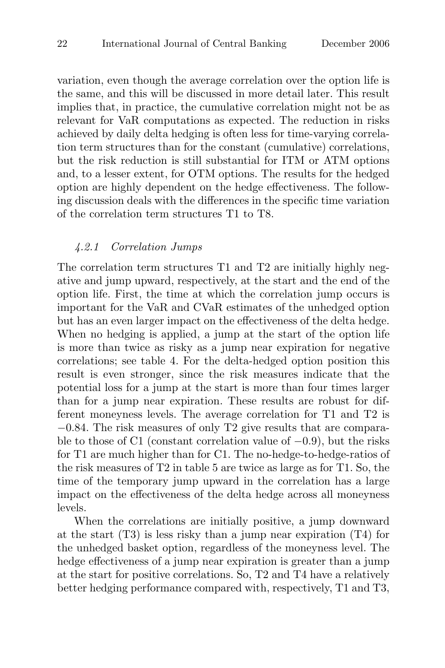variation, even though the average correlation over the option life is the same, and this will be discussed in more detail later. This result implies that, in practice, the cumulative correlation might not be as relevant for VaR computations as expected. The reduction in risks achieved by daily delta hedging is often less for time-varying correlation term structures than for the constant (cumulative) correlations, but the risk reduction is still substantial for ITM or ATM options and, to a lesser extent, for OTM options. The results for the hedged option are highly dependent on the hedge effectiveness. The following discussion deals with the differences in the specific time variation of the correlation term structures T1 to T8.

## 4.2.1 Correlation Jumps

The correlation term structures T1 and T2 are initially highly negative and jump upward, respectively, at the start and the end of the option life. First, the time at which the correlation jump occurs is important for the VaR and CVaR estimates of the unhedged option but has an even larger impact on the effectiveness of the delta hedge. When no hedging is applied, a jump at the start of the option life is more than twice as risky as a jump near expiration for negative correlations; see table 4. For the delta-hedged option position this result is even stronger, since the risk measures indicate that the potential loss for a jump at the start is more than four times larger than for a jump near expiration. These results are robust for different moneyness levels. The average correlation for T1 and T2 is −0.84. The risk measures of only T2 give results that are comparable to those of C1 (constant correlation value of  $-0.9$ ), but the risks for T1 are much higher than for C1. The no-hedge-to-hedge-ratios of the risk measures of T2 in table 5 are twice as large as for T1. So, the time of the temporary jump upward in the correlation has a large impact on the effectiveness of the delta hedge across all moneyness levels.

When the correlations are initially positive, a jump downward at the start (T3) is less risky than a jump near expiration (T4) for the unhedged basket option, regardless of the moneyness level. The hedge effectiveness of a jump near expiration is greater than a jump at the start for positive correlations. So, T2 and T4 have a relatively better hedging performance compared with, respectively, T1 and T3,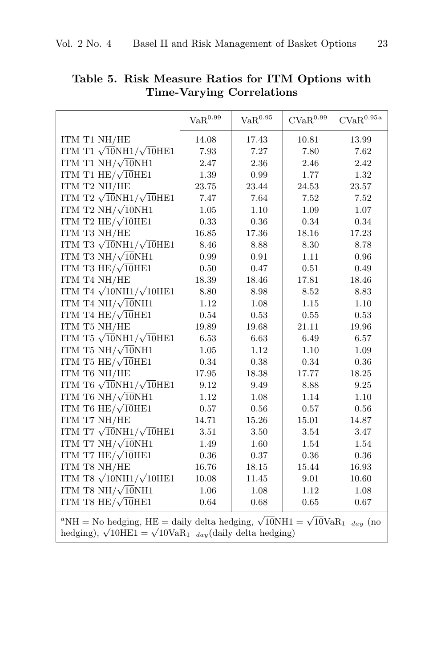|                                                                                                                | $\text{VaR}^{0.99}$ | $\mathrm{VaR}^{0.95}$ | $\mathrm{CVaR}^{0.99}$ | $\mathrm{CVaR}^{0.95\,\mathrm{a}}$ |
|----------------------------------------------------------------------------------------------------------------|---------------------|-----------------------|------------------------|------------------------------------|
| ITM T1 NH/HE                                                                                                   | 14.08               | 17.43                 | 10.81                  | 13.99                              |
| ITM T1 $\sqrt{10}$ NH1/ $\sqrt{10}$ HE1                                                                        | 7.93                | 7.27                  | 7.80                   | 7.62                               |
| ITM T1 NH/ $\sqrt{10}$ NH1                                                                                     | 2.47                | 2.36                  | 2.46                   | 2.42                               |
| ITM T1 $HE/\sqrt{10}HE1$                                                                                       | 1.39                | 0.99                  | 1.77                   | 1.32                               |
| ITM T2 NH/HE                                                                                                   | 23.75               | 23.44                 | 24.53                  | 23.57                              |
| ITM T2 $\sqrt{10}NH1/\sqrt{10}HE1$                                                                             | 7.47                | 7.64                  | 7.52                   | 7.52                               |
| ITM T2 NH/ $\sqrt{10}$ NH1                                                                                     | 1.05                | 1.10                  | 1.09                   | 1.07                               |
| ITM T2 HE/ $\sqrt{10}$ HE1                                                                                     | 0.33                | $0.36\,$              | 0.34                   | 0.34                               |
| ITM T3 NH/HE                                                                                                   | 16.85               | 17.36                 | 18.16                  | 17.23                              |
| ITM T3 $\sqrt{10}NH1/\sqrt{10}HE1$                                                                             | 8.46                | 8.88                  | 8.30                   | 8.78                               |
| ITM T3 NH/ $\sqrt{10}$ NH1                                                                                     | 0.99                | 0.91                  | 1.11                   | 0.96                               |
| ITM T3 HE/ $\sqrt{10}$ HE1                                                                                     | 0.50                | 0.47                  | 0.51                   | 0.49                               |
| ITM T4 NH/HE                                                                                                   | 18.39               | 18.46                 | 17.81                  | 18.46                              |
| ITM T4 $\sqrt{10}NH1/\sqrt{10}HE1$                                                                             | 8.80                | 8.98                  | 8.52                   | 8.83                               |
| ITM T4 NH/ $\sqrt{10}$ NH1                                                                                     | 1.12                | 1.08                  | 1.15                   | 1.10                               |
| ITM T4 HE/ $\sqrt{10}$ HE1                                                                                     | 0.54                | 0.53                  | 0.55                   | 0.53                               |
| ITM T5 NH/HE                                                                                                   | 19.89               | 19.68                 | 21.11                  | 19.96                              |
| ITM T5 $\sqrt{10}NH1/\sqrt{10}HE1$                                                                             | 6.53                | 6.63                  | 6.49                   | 6.57                               |
| ITM T5 NH/ $\sqrt{10}$ NH1                                                                                     | 1.05                | 1.12                  | 1.10                   | 1.09                               |
| ITM T5 HE/ $\sqrt{10}$ HE1                                                                                     | 0.34                | 0.38                  | 0.34                   | 0.36                               |
| ITM T6 NH/HE                                                                                                   | 17.95               | 18.38                 | 17.77                  | 18.25                              |
| ITM T6 $\sqrt{10}NH1/\sqrt{10}HE1$                                                                             | 9.12                | 9.49                  | 8.88                   | 9.25                               |
| ITM T6 NH/ $\sqrt{10}$ NH1                                                                                     | 1.12                | 1.08                  | 1.14                   | 1.10                               |
| ITM T6 HE/ $\sqrt{10}$ HE1                                                                                     | 0.57                | 0.56                  | 0.57                   | 0.56                               |
| ITM T7 NH/HE                                                                                                   | 14.71               | 15.26                 | 15.01                  | 14.87                              |
| ITM T7 $\sqrt{10}NH1/\sqrt{10}HE1$                                                                             | 3.51                | 3.50                  | 3.54                   | 3.47                               |
| ITM T7 $NH/\sqrt{10}NH1$                                                                                       | 1.49                | 1.60                  | 1.54                   | 1.54                               |
| ITM T7 $HE/\sqrt{10}HE1$                                                                                       | $0.36\,$            | 0.37                  | $0.36\,$               | $0.36\,$                           |
| ITM T8 NH/HE                                                                                                   | 16.76               | 18.15                 | 15.44                  | 16.93                              |
| ITM T8 $\sqrt{10}NH1/\sqrt{10}HE1$                                                                             | 10.08               | $11.45\,$             | 9.01                   | 10.60                              |
| ITM T8 NH/ $\sqrt{10}$ NH1                                                                                     | 1.06                | 1.08                  | 1.12                   | 1.08                               |
| ITM T8 HE/ $\sqrt{10}$ HE1                                                                                     | 0.64                | 0.68                  | 0.65                   | 0.67                               |
| <sup>a</sup> NH = No hedging, HE = daily delta hedging, $\sqrt{10}$ NH1 = $\sqrt{10}$ VaR <sub>1-day</sub> (no |                     |                       |                        |                                    |

**Table 5. Risk Measure Ratios for ITM Options with Time-Varying Correlations**

hedging),  $\sqrt{10}$ HE1 =  $\sqrt{10}$ VaR<sub>1−day</sub>(daily delta hedging)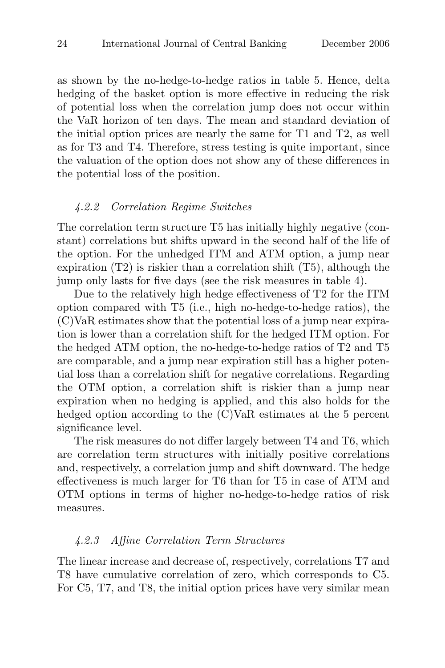as shown by the no-hedge-to-hedge ratios in table 5. Hence, delta hedging of the basket option is more effective in reducing the risk of potential loss when the correlation jump does not occur within the VaR horizon of ten days. The mean and standard deviation of the initial option prices are nearly the same for T1 and T2, as well as for T3 and T4. Therefore, stress testing is quite important, since the valuation of the option does not show any of these differences in the potential loss of the position.

#### 4.2.2 Correlation Regime Switches

The correlation term structure T5 has initially highly negative (constant) correlations but shifts upward in the second half of the life of the option. For the unhedged ITM and ATM option, a jump near expiration  $(T2)$  is riskier than a correlation shift  $(T5)$ , although the jump only lasts for five days (see the risk measures in table 4).

Due to the relatively high hedge effectiveness of T2 for the ITM option compared with T5 (i.e., high no-hedge-to-hedge ratios), the (C)VaR estimates show that the potential loss of a jump near expiration is lower than a correlation shift for the hedged ITM option. For the hedged ATM option, the no-hedge-to-hedge ratios of T2 and T5 are comparable, and a jump near expiration still has a higher potential loss than a correlation shift for negative correlations. Regarding the OTM option, a correlation shift is riskier than a jump near expiration when no hedging is applied, and this also holds for the hedged option according to the  $\rm(C)VaR$  estimates at the 5 percent significance level.

The risk measures do not differ largely between T4 and T6, which are correlation term structures with initially positive correlations and, respectively, a correlation jump and shift downward. The hedge effectiveness is much larger for T6 than for T5 in case of ATM and OTM options in terms of higher no-hedge-to-hedge ratios of risk measures.

#### 4.2.3 Affine Correlation Term Structures

The linear increase and decrease of, respectively, correlations T7 and T8 have cumulative correlation of zero, which corresponds to C5. For C5, T7, and T8, the initial option prices have very similar mean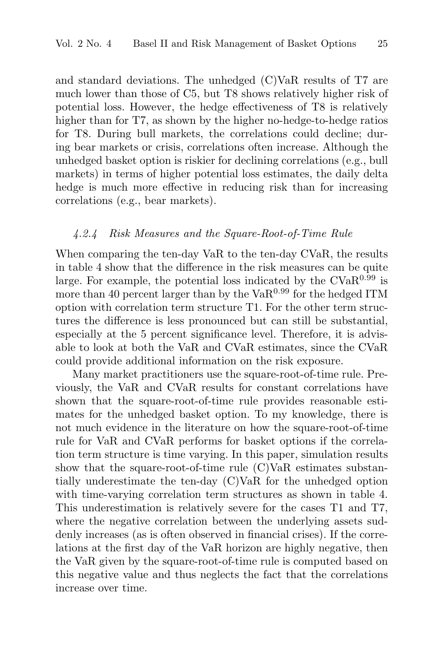and standard deviations. The unhedged (C)VaR results of T7 are much lower than those of C5, but T8 shows relatively higher risk of potential loss. However, the hedge effectiveness of T8 is relatively higher than for T7, as shown by the higher no-hedge-to-hedge ratios for T8. During bull markets, the correlations could decline; during bear markets or crisis, correlations often increase. Although the unhedged basket option is riskier for declining correlations (e.g., bull markets) in terms of higher potential loss estimates, the daily delta hedge is much more effective in reducing risk than for increasing correlations (e.g., bear markets).

#### 4.2.4 Risk Measures and the Square-Root-of-Time Rule

When comparing the ten-day VaR to the ten-day CVaR, the results in table 4 show that the difference in the risk measures can be quite large. For example, the potential loss indicated by the  $CVaR^{0.99}$  is more than 40 percent larger than by the  $VaR<sup>0.99</sup>$  for the hedged ITM option with correlation term structure T1. For the other term structures the difference is less pronounced but can still be substantial, especially at the 5 percent significance level. Therefore, it is advisable to look at both the VaR and CVaR estimates, since the CVaR could provide additional information on the risk exposure.

Many market practitioners use the square-root-of-time rule. Previously, the VaR and CVaR results for constant correlations have shown that the square-root-of-time rule provides reasonable estimates for the unhedged basket option. To my knowledge, there is not much evidence in the literature on how the square-root-of-time rule for VaR and CVaR performs for basket options if the correlation term structure is time varying. In this paper, simulation results show that the square-root-of-time rule (C)VaR estimates substantially underestimate the ten-day (C)VaR for the unhedged option with time-varying correlation term structures as shown in table 4. This underestimation is relatively severe for the cases T1 and T7, where the negative correlation between the underlying assets suddenly increases (as is often observed in financial crises). If the correlations at the first day of the VaR horizon are highly negative, then the VaR given by the square-root-of-time rule is computed based on this negative value and thus neglects the fact that the correlations increase over time.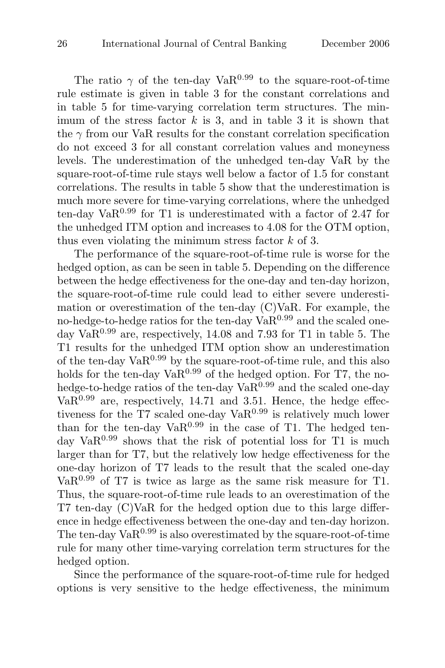The ratio  $\gamma$  of the ten-day VaR<sup>0.99</sup> to the square-root-of-time rule estimate is given in table 3 for the constant correlations and in table 5 for time-varying correlation term structures. The minimum of the stress factor  $k$  is 3, and in table 3 it is shown that the  $\gamma$  from our VaR results for the constant correlation specification do not exceed 3 for all constant correlation values and moneyness levels. The underestimation of the unhedged ten-day VaR by the square-root-of-time rule stays well below a factor of 1.5 for constant correlations. The results in table 5 show that the underestimation is much more severe for time-varying correlations, where the unhedged ten-day  $VaR<sup>0.99</sup>$  for T1 is underestimated with a factor of 2.47 for the unhedged ITM option and increases to 4.08 for the OTM option, thus even violating the minimum stress factor  $k$  of 3.

The performance of the square-root-of-time rule is worse for the hedged option, as can be seen in table 5. Depending on the difference between the hedge effectiveness for the one-day and ten-day horizon, the square-root-of-time rule could lead to either severe underestimation or overestimation of the ten-day (C)VaR. For example, the no-hedge-to-hedge ratios for the ten-day  $VaR<sup>0.99</sup>$  and the scaled oneday  $VaR<sup>0.99</sup>$  are, respectively, 14.08 and 7.93 for T1 in table 5. The T1 results for the unhedged ITM option show an underestimation of the ten-day  $VaR<sup>0.99</sup>$  by the square-root-of-time rule, and this also holds for the ten-day  $VaR<sup>0.99</sup>$  of the hedged option. For T7, the nohedge-to-hedge ratios of the ten-day  $VaR<sup>0.99</sup>$  and the scaled one-day  $VaR<sup>0.99</sup>$  are, respectively, 14.71 and 3.51. Hence, the hedge effectiveness for the T7 scaled one-day  $VaR^{0.99}$  is relatively much lower than for the ten-day  $VaR<sup>0.99</sup>$  in the case of T1. The hedged tenday  $VaR<sup>0.99</sup>$  shows that the risk of potential loss for T1 is much larger than for T7, but the relatively low hedge effectiveness for the one-day horizon of T7 leads to the result that the scaled one-day  $VaR<sup>0.99</sup>$  of T7 is twice as large as the same risk measure for T1. Thus, the square-root-of-time rule leads to an overestimation of the T7 ten-day (C)VaR for the hedged option due to this large difference in hedge effectiveness between the one-day and ten-day horizon. The ten-day  $VaR<sup>0.99</sup>$  is also overestimated by the square-root-of-time rule for many other time-varying correlation term structures for the hedged option.

Since the performance of the square-root-of-time rule for hedged options is very sensitive to the hedge effectiveness, the minimum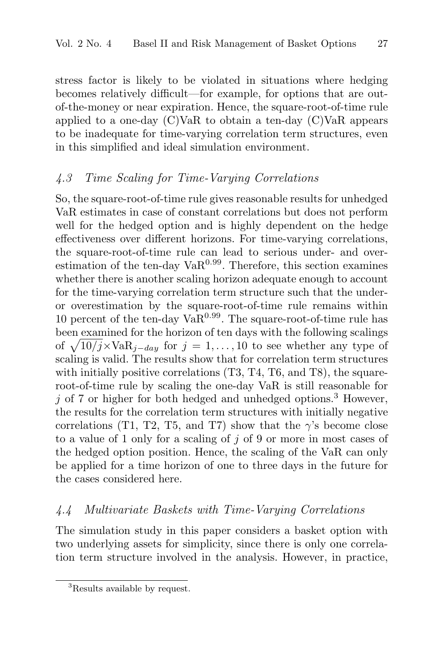stress factor is likely to be violated in situations where hedging becomes relatively difficult—for example, for options that are outof-the-money or near expiration. Hence, the square-root-of-time rule applied to a one-day (C)VaR to obtain a ten-day (C)VaR appears to be inadequate for time-varying correlation term structures, even in this simplified and ideal simulation environment.

# 4.3 Time Scaling for Time-Varying Correlations

So, the square-root-of-time rule gives reasonable results for unhedged VaR estimates in case of constant correlations but does not perform well for the hedged option and is highly dependent on the hedge effectiveness over different horizons. For time-varying correlations, the square-root-of-time rule can lead to serious under- and overestimation of the ten-day  $VaR<sup>0.99</sup>$ . Therefore, this section examines whether there is another scaling horizon adequate enough to account for the time-varying correlation term structure such that the underor overestimation by the square-root-of-time rule remains within 10 percent of the ten-day  $VaR<sup>0.99</sup>$ . The square-root-of-time rule has been examined for the horizon of ten days with the following scalings of  $\sqrt{10/j} \times \text{VaR}_{i-day}$  for  $j = 1, ..., 10$  to see whether any type of scaling is valid. The results show that for correlation term structures with initially positive correlations  $(T3, T4, T6, \text{ and } T8)$ , the squareroot-of-time rule by scaling the one-day VaR is still reasonable for  $j$  of 7 or higher for both hedged and unhedged options.<sup>3</sup> However, the results for the correlation term structures with initially negative correlations (T1, T2, T5, and T7) show that the  $\gamma$ 's become close to a value of 1 only for a scaling of j of 9 or more in most cases of the hedged option position. Hence, the scaling of the VaR can only be applied for a time horizon of one to three days in the future for the cases considered here.

# 4.4 Multivariate Baskets with Time-Varying Correlations

The simulation study in this paper considers a basket option with two underlying assets for simplicity, since there is only one correlation term structure involved in the analysis. However, in practice,

<sup>3</sup>Results available by request.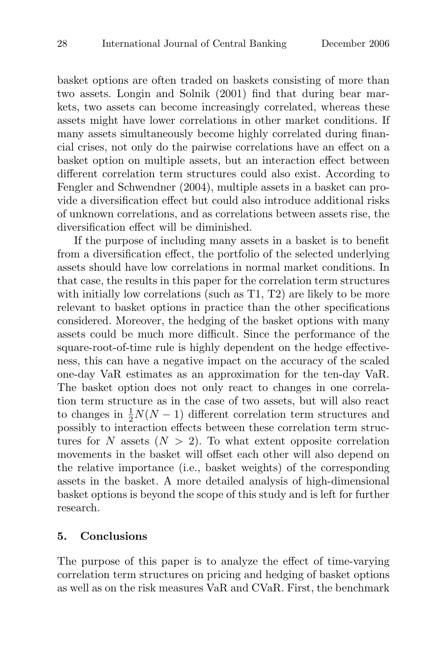basket options are often traded on baskets consisting of more than two assets. Longin and Solnik (2001) find that during bear markets, two assets can become increasingly correlated, whereas these assets might have lower correlations in other market conditions. If many assets simultaneously become highly correlated during financial crises, not only do the pairwise correlations have an effect on a basket option on multiple assets, but an interaction effect between different correlation term structures could also exist. According to Fengler and Schwendner (2004), multiple assets in a basket can provide a diversification effect but could also introduce additional risks of unknown correlations, and as correlations between assets rise, the diversification effect will be diminished.

If the purpose of including many assets in a basket is to benefit from a diversification effect, the portfolio of the selected underlying assets should have low correlations in normal market conditions. In that case, the results in this paper for the correlation term structures with initially low correlations (such as T1, T2) are likely to be more relevant to basket options in practice than the other specifications considered. Moreover, the hedging of the basket options with many assets could be much more difficult. Since the performance of the square-root-of-time rule is highly dependent on the hedge effectiveness, this can have a negative impact on the accuracy of the scaled one-day VaR estimates as an approximation for the ten-day VaR. The basket option does not only react to changes in one correlation term structure as in the case of two assets, but will also react to changes in  $\frac{1}{2}N(N-1)$  different correlation term structures and possibly to interaction effects between these correlation term structures for N assets  $(N > 2)$ . To what extent opposite correlation movements in the basket will offset each other will also depend on the relative importance (i.e., basket weights) of the corresponding assets in the basket. A more detailed analysis of high-dimensional basket options is beyond the scope of this study and is left for further research.

#### **5. Conclusions**

The purpose of this paper is to analyze the effect of time-varying correlation term structures on pricing and hedging of basket options as well as on the risk measures VaR and CVaR. First, the benchmark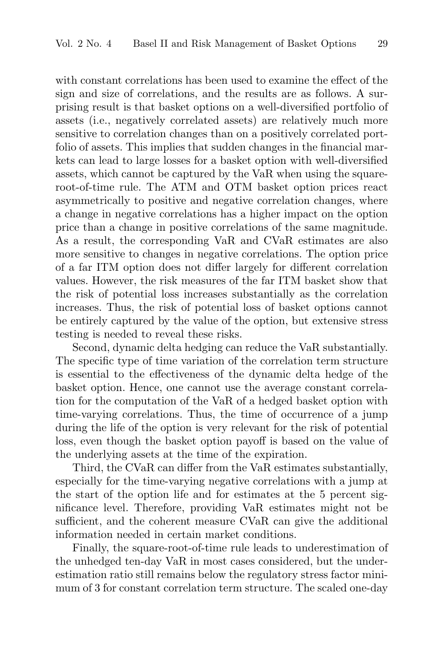with constant correlations has been used to examine the effect of the sign and size of correlations, and the results are as follows. A surprising result is that basket options on a well-diversified portfolio of assets (i.e., negatively correlated assets) are relatively much more sensitive to correlation changes than on a positively correlated portfolio of assets. This implies that sudden changes in the financial markets can lead to large losses for a basket option with well-diversified assets, which cannot be captured by the VaR when using the squareroot-of-time rule. The ATM and OTM basket option prices react asymmetrically to positive and negative correlation changes, where a change in negative correlations has a higher impact on the option price than a change in positive correlations of the same magnitude. As a result, the corresponding VaR and CVaR estimates are also more sensitive to changes in negative correlations. The option price of a far ITM option does not differ largely for different correlation values. However, the risk measures of the far ITM basket show that the risk of potential loss increases substantially as the correlation increases. Thus, the risk of potential loss of basket options cannot be entirely captured by the value of the option, but extensive stress testing is needed to reveal these risks.

Second, dynamic delta hedging can reduce the VaR substantially. The specific type of time variation of the correlation term structure is essential to the effectiveness of the dynamic delta hedge of the basket option. Hence, one cannot use the average constant correlation for the computation of the VaR of a hedged basket option with time-varying correlations. Thus, the time of occurrence of a jump during the life of the option is very relevant for the risk of potential loss, even though the basket option payoff is based on the value of the underlying assets at the time of the expiration.

Third, the CVaR can differ from the VaR estimates substantially, especially for the time-varying negative correlations with a jump at the start of the option life and for estimates at the 5 percent significance level. Therefore, providing VaR estimates might not be sufficient, and the coherent measure CVaR can give the additional information needed in certain market conditions.

Finally, the square-root-of-time rule leads to underestimation of the unhedged ten-day VaR in most cases considered, but the underestimation ratio still remains below the regulatory stress factor minimum of 3 for constant correlation term structure. The scaled one-day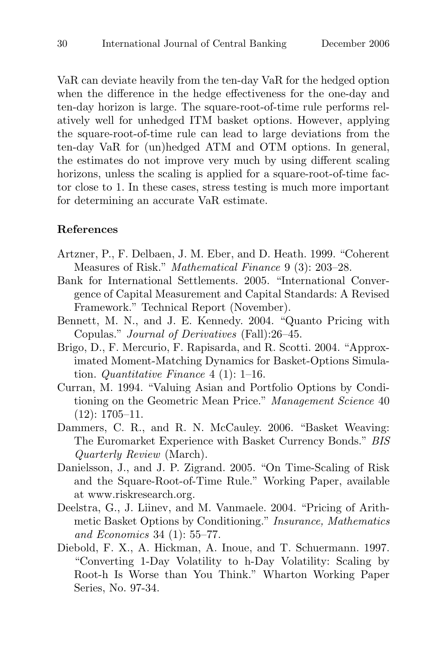VaR can deviate heavily from the ten-day VaR for the hedged option when the difference in the hedge effectiveness for the one-day and ten-day horizon is large. The square-root-of-time rule performs relatively well for unhedged ITM basket options. However, applying the square-root-of-time rule can lead to large deviations from the ten-day VaR for (un)hedged ATM and OTM options. In general, the estimates do not improve very much by using different scaling horizons, unless the scaling is applied for a square-root-of-time factor close to 1. In these cases, stress testing is much more important for determining an accurate VaR estimate.

## **References**

- Artzner, P., F. Delbaen, J. M. Eber, and D. Heath. 1999. "Coherent Measures of Risk." *Mathematical Finance* 9 (3): 203-28.
- Bank for International Settlements. 2005. "International Convergence of Capital Measurement and Capital Standards: A Revised Framework." Technical Report (November).
- Bennett, M. N., and J. E. Kennedy. 2004. "Quanto Pricing with Copulas." Journal of Derivatives (Fall):26–45.
- Brigo, D., F. Mercurio, F. Rapisarda, and R. Scotti. 2004. "Approximated Moment-Matching Dynamics for Basket-Options Simulation. Quantitative Finance  $4(1)$ : 1–16.
- Curran, M. 1994. "Valuing Asian and Portfolio Options by Conditioning on the Geometric Mean Price." Management Science 40 (12): 1705–11.
- Dammers, C. R., and R. N. McCauley. 2006. "Basket Weaving: The Euromarket Experience with Basket Currency Bonds." BIS Quarterly Review (March).
- Danielsson, J., and J. P. Zigrand. 2005. "On Time-Scaling of Risk and the Square-Root-of-Time Rule." Working Paper, available at www.riskresearch.org.
- Deelstra, G., J. Liinev, and M. Vanmaele. 2004. "Pricing of Arithmetic Basket Options by Conditioning." Insurance, Mathematics and Economics 34 (1): 55–77.
- Diebold, F. X., A. Hickman, A. Inoue, and T. Schuermann. 1997. "Converting 1-Day Volatility to h-Day Volatility: Scaling by Root-h Is Worse than You Think." Wharton Working Paper Series, No. 97-34.